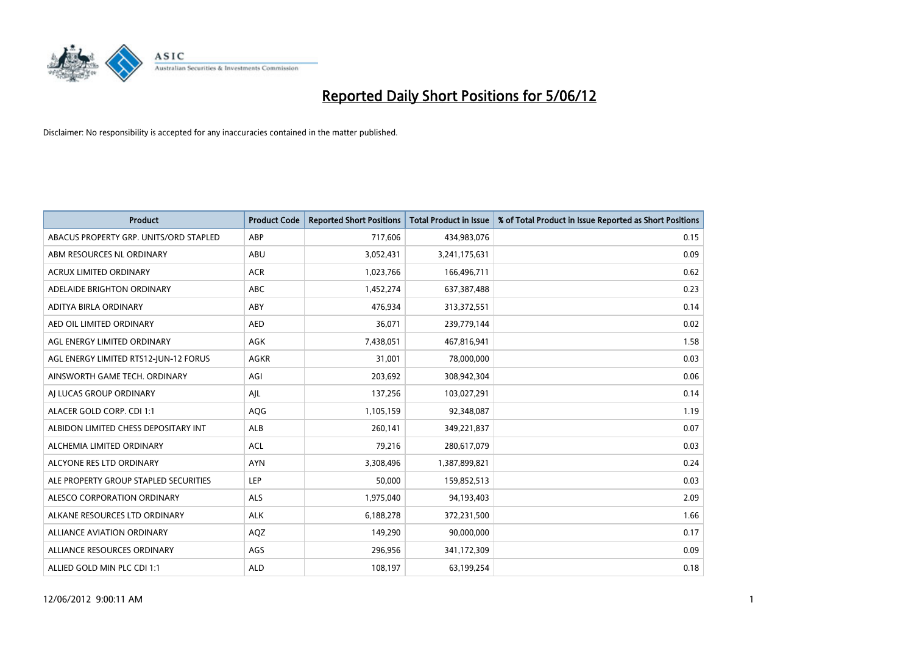

| <b>Product</b>                         | <b>Product Code</b> | <b>Reported Short Positions</b> | <b>Total Product in Issue</b> | % of Total Product in Issue Reported as Short Positions |
|----------------------------------------|---------------------|---------------------------------|-------------------------------|---------------------------------------------------------|
| ABACUS PROPERTY GRP. UNITS/ORD STAPLED | ABP                 | 717,606                         | 434,983,076                   | 0.15                                                    |
| ABM RESOURCES NL ORDINARY              | ABU                 | 3,052,431                       | 3,241,175,631                 | 0.09                                                    |
| <b>ACRUX LIMITED ORDINARY</b>          | <b>ACR</b>          | 1,023,766                       | 166,496,711                   | 0.62                                                    |
| ADELAIDE BRIGHTON ORDINARY             | <b>ABC</b>          | 1,452,274                       | 637,387,488                   | 0.23                                                    |
| ADITYA BIRLA ORDINARY                  | ABY                 | 476,934                         | 313,372,551                   | 0.14                                                    |
| AED OIL LIMITED ORDINARY               | <b>AED</b>          | 36,071                          | 239,779,144                   | 0.02                                                    |
| AGL ENERGY LIMITED ORDINARY            | AGK                 | 7,438,051                       | 467,816,941                   | 1.58                                                    |
| AGL ENERGY LIMITED RTS12-JUN-12 FORUS  | <b>AGKR</b>         | 31,001                          | 78,000,000                    | 0.03                                                    |
| AINSWORTH GAME TECH. ORDINARY          | AGI                 | 203,692                         | 308,942,304                   | 0.06                                                    |
| AI LUCAS GROUP ORDINARY                | AJL                 | 137,256                         | 103,027,291                   | 0.14                                                    |
| ALACER GOLD CORP. CDI 1:1              | AQG                 | 1,105,159                       | 92,348,087                    | 1.19                                                    |
| ALBIDON LIMITED CHESS DEPOSITARY INT   | ALB                 | 260,141                         | 349,221,837                   | 0.07                                                    |
| ALCHEMIA LIMITED ORDINARY              | <b>ACL</b>          | 79,216                          | 280,617,079                   | 0.03                                                    |
| ALCYONE RES LTD ORDINARY               | <b>AYN</b>          | 3,308,496                       | 1,387,899,821                 | 0.24                                                    |
| ALE PROPERTY GROUP STAPLED SECURITIES  | <b>LEP</b>          | 50,000                          | 159,852,513                   | 0.03                                                    |
| ALESCO CORPORATION ORDINARY            | ALS                 | 1,975,040                       | 94,193,403                    | 2.09                                                    |
| ALKANE RESOURCES LTD ORDINARY          | <b>ALK</b>          | 6,188,278                       | 372,231,500                   | 1.66                                                    |
| ALLIANCE AVIATION ORDINARY             | AQZ                 | 149,290                         | 90,000,000                    | 0.17                                                    |
| ALLIANCE RESOURCES ORDINARY            | AGS                 | 296,956                         | 341,172,309                   | 0.09                                                    |
| ALLIED GOLD MIN PLC CDI 1:1            | <b>ALD</b>          | 108,197                         | 63,199,254                    | 0.18                                                    |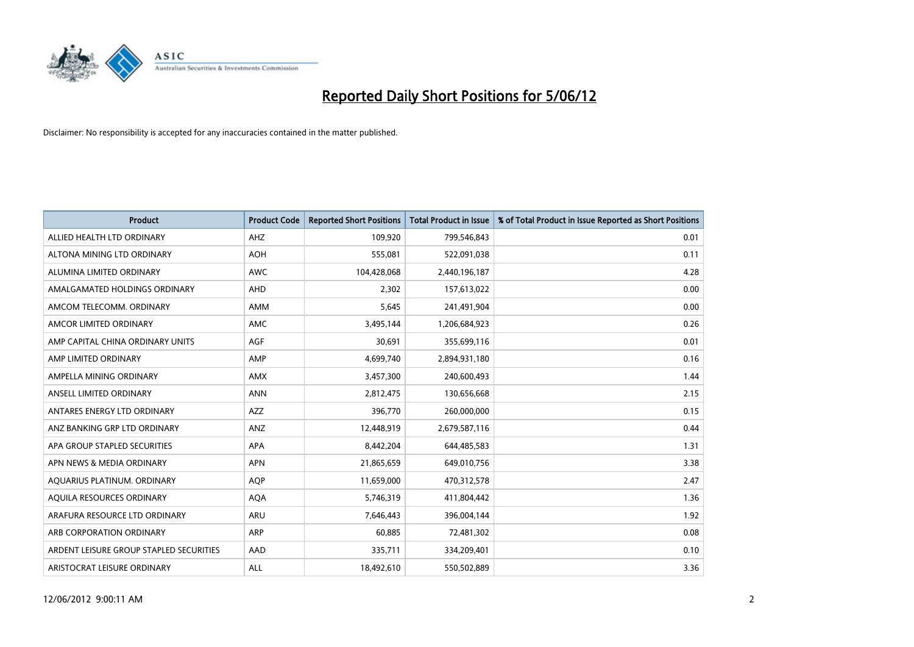

| <b>Product</b>                          | <b>Product Code</b> | <b>Reported Short Positions</b> | <b>Total Product in Issue</b> | % of Total Product in Issue Reported as Short Positions |
|-----------------------------------------|---------------------|---------------------------------|-------------------------------|---------------------------------------------------------|
| ALLIED HEALTH LTD ORDINARY              | AHZ                 | 109,920                         | 799,546,843                   | 0.01                                                    |
| ALTONA MINING LTD ORDINARY              | <b>AOH</b>          | 555,081                         | 522,091,038                   | 0.11                                                    |
| ALUMINA LIMITED ORDINARY                | <b>AWC</b>          | 104,428,068                     | 2,440,196,187                 | 4.28                                                    |
| AMALGAMATED HOLDINGS ORDINARY           | <b>AHD</b>          | 2,302                           | 157,613,022                   | 0.00                                                    |
| AMCOM TELECOMM, ORDINARY                | AMM                 | 5,645                           | 241,491,904                   | 0.00                                                    |
| AMCOR LIMITED ORDINARY                  | AMC                 | 3,495,144                       | 1,206,684,923                 | 0.26                                                    |
| AMP CAPITAL CHINA ORDINARY UNITS        | <b>AGF</b>          | 30,691                          | 355,699,116                   | 0.01                                                    |
| AMP LIMITED ORDINARY                    | AMP                 | 4,699,740                       | 2,894,931,180                 | 0.16                                                    |
| AMPELLA MINING ORDINARY                 | <b>AMX</b>          | 3,457,300                       | 240,600,493                   | 1.44                                                    |
| ANSELL LIMITED ORDINARY                 | <b>ANN</b>          | 2,812,475                       | 130,656,668                   | 2.15                                                    |
| ANTARES ENERGY LTD ORDINARY             | AZZ                 | 396,770                         | 260,000,000                   | 0.15                                                    |
| ANZ BANKING GRP LTD ORDINARY            | ANZ                 | 12,448,919                      | 2,679,587,116                 | 0.44                                                    |
| APA GROUP STAPLED SECURITIES            | <b>APA</b>          | 8,442,204                       | 644,485,583                   | 1.31                                                    |
| APN NEWS & MEDIA ORDINARY               | <b>APN</b>          | 21,865,659                      | 649,010,756                   | 3.38                                                    |
| AQUARIUS PLATINUM. ORDINARY             | AQP                 | 11,659,000                      | 470,312,578                   | 2.47                                                    |
| AQUILA RESOURCES ORDINARY               | <b>AQA</b>          | 5,746,319                       | 411,804,442                   | 1.36                                                    |
| ARAFURA RESOURCE LTD ORDINARY           | ARU                 | 7,646,443                       | 396,004,144                   | 1.92                                                    |
| ARB CORPORATION ORDINARY                | ARP                 | 60,885                          | 72,481,302                    | 0.08                                                    |
| ARDENT LEISURE GROUP STAPLED SECURITIES | AAD                 | 335,711                         | 334,209,401                   | 0.10                                                    |
| ARISTOCRAT LEISURE ORDINARY             | ALL                 | 18,492,610                      | 550,502,889                   | 3.36                                                    |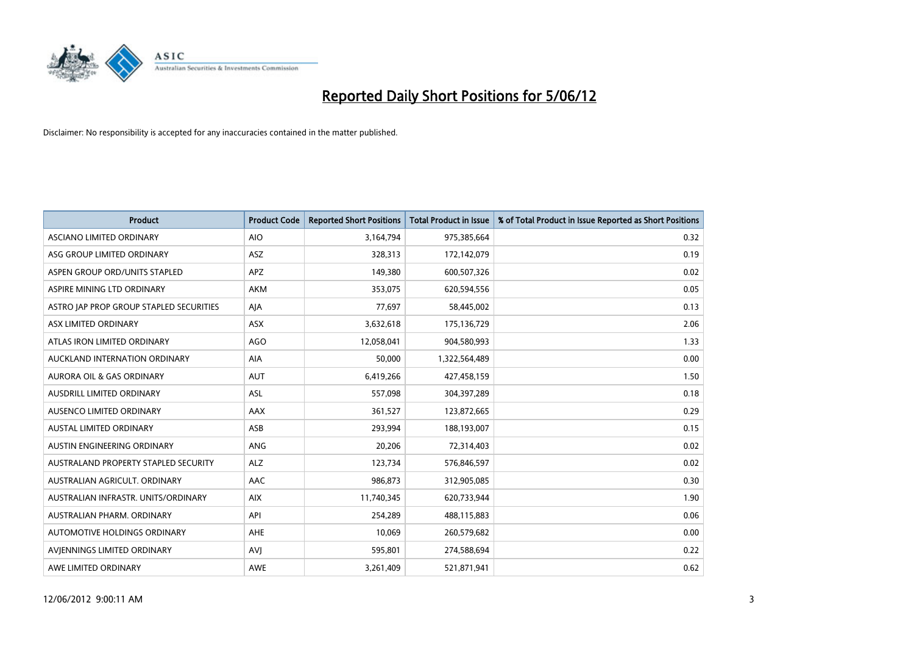

| <b>Product</b>                          | <b>Product Code</b> | <b>Reported Short Positions</b> | <b>Total Product in Issue</b> | % of Total Product in Issue Reported as Short Positions |
|-----------------------------------------|---------------------|---------------------------------|-------------------------------|---------------------------------------------------------|
| ASCIANO LIMITED ORDINARY                | <b>AIO</b>          | 3,164,794                       | 975,385,664                   | 0.32                                                    |
| ASG GROUP LIMITED ORDINARY              | ASZ                 | 328,313                         | 172,142,079                   | 0.19                                                    |
| ASPEN GROUP ORD/UNITS STAPLED           | <b>APZ</b>          | 149,380                         | 600,507,326                   | 0.02                                                    |
| ASPIRE MINING LTD ORDINARY              | <b>AKM</b>          | 353,075                         | 620,594,556                   | 0.05                                                    |
| ASTRO JAP PROP GROUP STAPLED SECURITIES | AJA                 | 77,697                          | 58,445,002                    | 0.13                                                    |
| ASX LIMITED ORDINARY                    | ASX                 | 3,632,618                       | 175,136,729                   | 2.06                                                    |
| ATLAS IRON LIMITED ORDINARY             | <b>AGO</b>          | 12,058,041                      | 904,580,993                   | 1.33                                                    |
| AUCKLAND INTERNATION ORDINARY           | AIA                 | 50,000                          | 1,322,564,489                 | 0.00                                                    |
| <b>AURORA OIL &amp; GAS ORDINARY</b>    | <b>AUT</b>          | 6,419,266                       | 427,458,159                   | 1.50                                                    |
| AUSDRILL LIMITED ORDINARY               | <b>ASL</b>          | 557,098                         | 304,397,289                   | 0.18                                                    |
| AUSENCO LIMITED ORDINARY                | AAX                 | 361,527                         | 123,872,665                   | 0.29                                                    |
| AUSTAL LIMITED ORDINARY                 | ASB                 | 293,994                         | 188,193,007                   | 0.15                                                    |
| AUSTIN ENGINEERING ORDINARY             | ANG                 | 20,206                          | 72,314,403                    | 0.02                                                    |
| AUSTRALAND PROPERTY STAPLED SECURITY    | <b>ALZ</b>          | 123,734                         | 576,846,597                   | 0.02                                                    |
| AUSTRALIAN AGRICULT. ORDINARY           | AAC                 | 986,873                         | 312,905,085                   | 0.30                                                    |
| AUSTRALIAN INFRASTR, UNITS/ORDINARY     | <b>AIX</b>          | 11,740,345                      | 620,733,944                   | 1.90                                                    |
| AUSTRALIAN PHARM. ORDINARY              | API                 | 254,289                         | 488,115,883                   | 0.06                                                    |
| AUTOMOTIVE HOLDINGS ORDINARY            | <b>AHE</b>          | 10,069                          | 260,579,682                   | 0.00                                                    |
| AVIENNINGS LIMITED ORDINARY             | <b>AVI</b>          | 595,801                         | 274,588,694                   | 0.22                                                    |
| AWE LIMITED ORDINARY                    | <b>AWE</b>          | 3,261,409                       | 521,871,941                   | 0.62                                                    |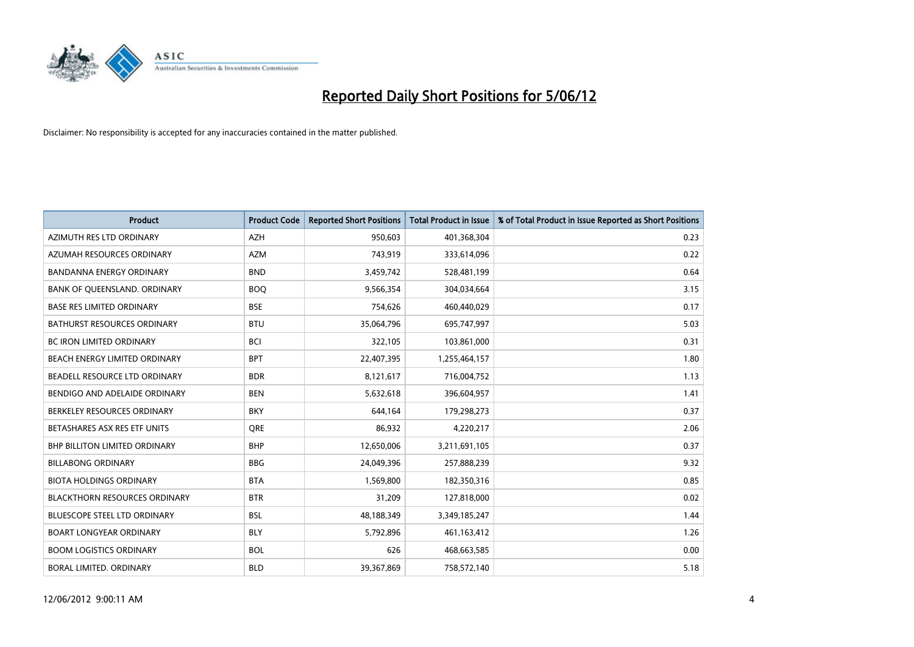

| <b>Product</b>                       | <b>Product Code</b> | <b>Reported Short Positions</b> | <b>Total Product in Issue</b> | % of Total Product in Issue Reported as Short Positions |
|--------------------------------------|---------------------|---------------------------------|-------------------------------|---------------------------------------------------------|
| AZIMUTH RES LTD ORDINARY             | <b>AZH</b>          | 950,603                         | 401,368,304                   | 0.23                                                    |
| AZUMAH RESOURCES ORDINARY            | <b>AZM</b>          | 743,919                         | 333,614,096                   | 0.22                                                    |
| <b>BANDANNA ENERGY ORDINARY</b>      | <b>BND</b>          | 3,459,742                       | 528,481,199                   | 0.64                                                    |
| BANK OF QUEENSLAND. ORDINARY         | <b>BOQ</b>          | 9,566,354                       | 304,034,664                   | 3.15                                                    |
| <b>BASE RES LIMITED ORDINARY</b>     | <b>BSE</b>          | 754,626                         | 460,440,029                   | 0.17                                                    |
| <b>BATHURST RESOURCES ORDINARY</b>   | <b>BTU</b>          | 35,064,796                      | 695,747,997                   | 5.03                                                    |
| <b>BC IRON LIMITED ORDINARY</b>      | <b>BCI</b>          | 322,105                         | 103,861,000                   | 0.31                                                    |
| BEACH ENERGY LIMITED ORDINARY        | <b>BPT</b>          | 22,407,395                      | 1,255,464,157                 | 1.80                                                    |
| BEADELL RESOURCE LTD ORDINARY        | <b>BDR</b>          | 8,121,617                       | 716,004,752                   | 1.13                                                    |
| BENDIGO AND ADELAIDE ORDINARY        | <b>BEN</b>          | 5,632,618                       | 396,604,957                   | 1.41                                                    |
| BERKELEY RESOURCES ORDINARY          | <b>BKY</b>          | 644,164                         | 179,298,273                   | 0.37                                                    |
| BETASHARES ASX RES ETF UNITS         | <b>ORE</b>          | 86,932                          | 4,220,217                     | 2.06                                                    |
| <b>BHP BILLITON LIMITED ORDINARY</b> | <b>BHP</b>          | 12,650,006                      | 3,211,691,105                 | 0.37                                                    |
| <b>BILLABONG ORDINARY</b>            | <b>BBG</b>          | 24,049,396                      | 257,888,239                   | 9.32                                                    |
| <b>BIOTA HOLDINGS ORDINARY</b>       | <b>BTA</b>          | 1,569,800                       | 182,350,316                   | 0.85                                                    |
| <b>BLACKTHORN RESOURCES ORDINARY</b> | <b>BTR</b>          | 31,209                          | 127,818,000                   | 0.02                                                    |
| BLUESCOPE STEEL LTD ORDINARY         | <b>BSL</b>          | 48,188,349                      | 3,349,185,247                 | 1.44                                                    |
| <b>BOART LONGYEAR ORDINARY</b>       | <b>BLY</b>          | 5,792,896                       | 461,163,412                   | 1.26                                                    |
| <b>BOOM LOGISTICS ORDINARY</b>       | <b>BOL</b>          | 626                             | 468,663,585                   | 0.00                                                    |
| BORAL LIMITED. ORDINARY              | <b>BLD</b>          | 39,367,869                      | 758,572,140                   | 5.18                                                    |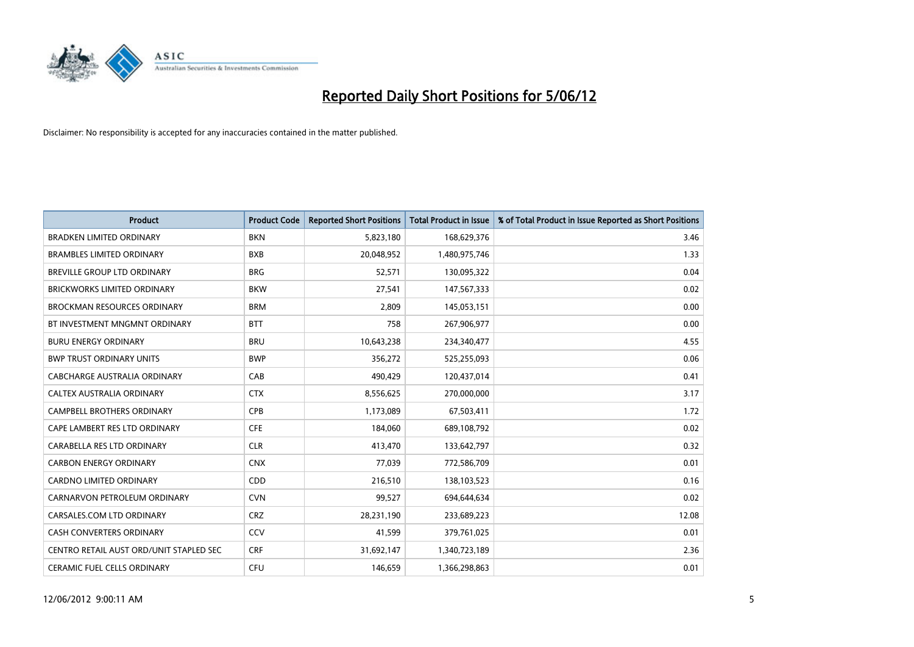

| <b>Product</b>                          | <b>Product Code</b> | <b>Reported Short Positions</b> | <b>Total Product in Issue</b> | % of Total Product in Issue Reported as Short Positions |
|-----------------------------------------|---------------------|---------------------------------|-------------------------------|---------------------------------------------------------|
| <b>BRADKEN LIMITED ORDINARY</b>         | <b>BKN</b>          | 5,823,180                       | 168,629,376                   | 3.46                                                    |
| <b>BRAMBLES LIMITED ORDINARY</b>        | <b>BXB</b>          | 20,048,952                      | 1,480,975,746                 | 1.33                                                    |
| BREVILLE GROUP LTD ORDINARY             | <b>BRG</b>          | 52,571                          | 130,095,322                   | 0.04                                                    |
| BRICKWORKS LIMITED ORDINARY             | <b>BKW</b>          | 27,541                          | 147,567,333                   | 0.02                                                    |
| <b>BROCKMAN RESOURCES ORDINARY</b>      | <b>BRM</b>          | 2,809                           | 145,053,151                   | 0.00                                                    |
| BT INVESTMENT MNGMNT ORDINARY           | <b>BTT</b>          | 758                             | 267,906,977                   | 0.00                                                    |
| <b>BURU ENERGY ORDINARY</b>             | <b>BRU</b>          | 10,643,238                      | 234,340,477                   | 4.55                                                    |
| <b>BWP TRUST ORDINARY UNITS</b>         | <b>BWP</b>          | 356,272                         | 525,255,093                   | 0.06                                                    |
| CABCHARGE AUSTRALIA ORDINARY            | CAB                 | 490,429                         | 120,437,014                   | 0.41                                                    |
| CALTEX AUSTRALIA ORDINARY               | <b>CTX</b>          | 8,556,625                       | 270,000,000                   | 3.17                                                    |
| CAMPBELL BROTHERS ORDINARY              | <b>CPB</b>          | 1,173,089                       | 67,503,411                    | 1.72                                                    |
| CAPE LAMBERT RES LTD ORDINARY           | <b>CFE</b>          | 184,060                         | 689,108,792                   | 0.02                                                    |
| CARABELLA RES LTD ORDINARY              | <b>CLR</b>          | 413,470                         | 133,642,797                   | 0.32                                                    |
| <b>CARBON ENERGY ORDINARY</b>           | <b>CNX</b>          | 77,039                          | 772,586,709                   | 0.01                                                    |
| <b>CARDNO LIMITED ORDINARY</b>          | CDD                 | 216,510                         | 138,103,523                   | 0.16                                                    |
| CARNARVON PETROLEUM ORDINARY            | <b>CVN</b>          | 99,527                          | 694,644,634                   | 0.02                                                    |
| CARSALES.COM LTD ORDINARY               | <b>CRZ</b>          | 28,231,190                      | 233,689,223                   | 12.08                                                   |
| CASH CONVERTERS ORDINARY                | CCV                 | 41,599                          | 379,761,025                   | 0.01                                                    |
| CENTRO RETAIL AUST ORD/UNIT STAPLED SEC | <b>CRF</b>          | 31,692,147                      | 1,340,723,189                 | 2.36                                                    |
| CERAMIC FUEL CELLS ORDINARY             | <b>CFU</b>          | 146,659                         | 1,366,298,863                 | 0.01                                                    |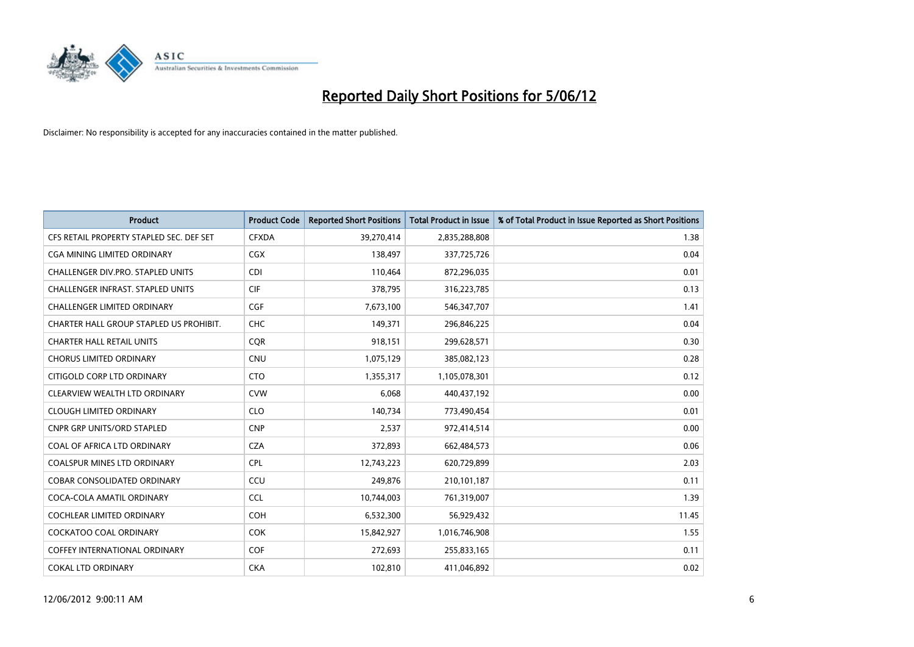

| <b>Product</b>                           | <b>Product Code</b> | <b>Reported Short Positions</b> | <b>Total Product in Issue</b> | % of Total Product in Issue Reported as Short Positions |
|------------------------------------------|---------------------|---------------------------------|-------------------------------|---------------------------------------------------------|
| CFS RETAIL PROPERTY STAPLED SEC. DEF SET | <b>CFXDA</b>        | 39,270,414                      | 2,835,288,808                 | 1.38                                                    |
| CGA MINING LIMITED ORDINARY              | <b>CGX</b>          | 138,497                         | 337,725,726                   | 0.04                                                    |
| CHALLENGER DIV.PRO. STAPLED UNITS        | <b>CDI</b>          | 110,464                         | 872,296,035                   | 0.01                                                    |
| CHALLENGER INFRAST. STAPLED UNITS        | <b>CIF</b>          | 378,795                         | 316,223,785                   | 0.13                                                    |
| <b>CHALLENGER LIMITED ORDINARY</b>       | <b>CGF</b>          | 7,673,100                       | 546, 347, 707                 | 1.41                                                    |
| CHARTER HALL GROUP STAPLED US PROHIBIT.  | <b>CHC</b>          | 149,371                         | 296,846,225                   | 0.04                                                    |
| <b>CHARTER HALL RETAIL UNITS</b>         | <b>COR</b>          | 918,151                         | 299,628,571                   | 0.30                                                    |
| <b>CHORUS LIMITED ORDINARY</b>           | <b>CNU</b>          | 1,075,129                       | 385,082,123                   | 0.28                                                    |
| CITIGOLD CORP LTD ORDINARY               | <b>CTO</b>          | 1,355,317                       | 1,105,078,301                 | 0.12                                                    |
| CLEARVIEW WEALTH LTD ORDINARY            | <b>CVW</b>          | 6,068                           | 440,437,192                   | 0.00                                                    |
| <b>CLOUGH LIMITED ORDINARY</b>           | <b>CLO</b>          | 140,734                         | 773,490,454                   | 0.01                                                    |
| <b>CNPR GRP UNITS/ORD STAPLED</b>        | <b>CNP</b>          | 2,537                           | 972,414,514                   | 0.00                                                    |
| COAL OF AFRICA LTD ORDINARY              | <b>CZA</b>          | 372,893                         | 662,484,573                   | 0.06                                                    |
| <b>COALSPUR MINES LTD ORDINARY</b>       | <b>CPL</b>          | 12,743,223                      | 620,729,899                   | 2.03                                                    |
| <b>COBAR CONSOLIDATED ORDINARY</b>       | CCU                 | 249,876                         | 210,101,187                   | 0.11                                                    |
| COCA-COLA AMATIL ORDINARY                | <b>CCL</b>          | 10,744,003                      | 761,319,007                   | 1.39                                                    |
| COCHLEAR LIMITED ORDINARY                | <b>COH</b>          | 6,532,300                       | 56,929,432                    | 11.45                                                   |
| <b>COCKATOO COAL ORDINARY</b>            | <b>COK</b>          | 15,842,927                      | 1,016,746,908                 | 1.55                                                    |
| <b>COFFEY INTERNATIONAL ORDINARY</b>     | <b>COF</b>          | 272,693                         | 255,833,165                   | 0.11                                                    |
| <b>COKAL LTD ORDINARY</b>                | <b>CKA</b>          | 102,810                         | 411,046,892                   | 0.02                                                    |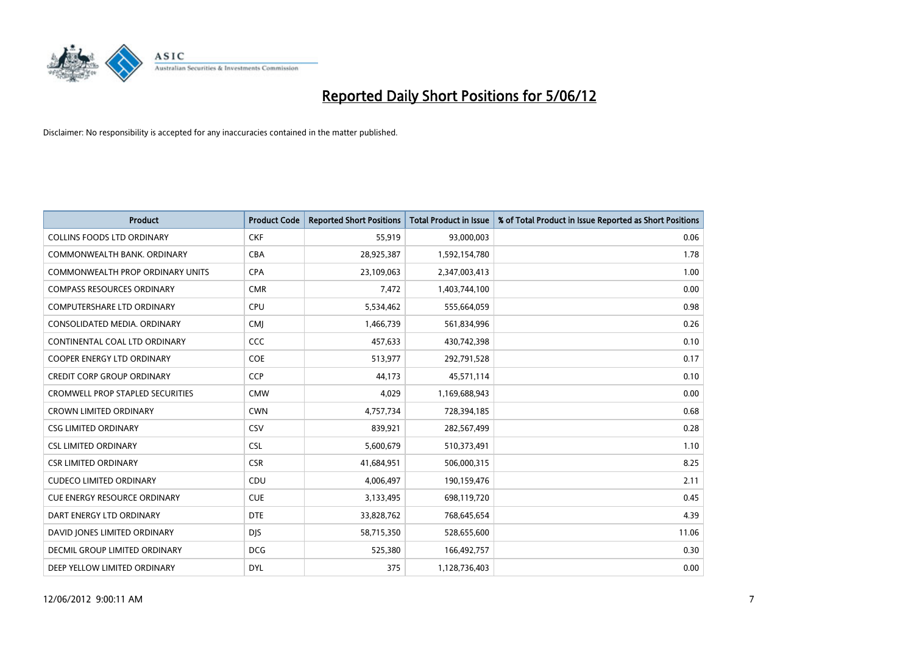

| <b>Product</b>                          | <b>Product Code</b> | <b>Reported Short Positions</b> | <b>Total Product in Issue</b> | % of Total Product in Issue Reported as Short Positions |
|-----------------------------------------|---------------------|---------------------------------|-------------------------------|---------------------------------------------------------|
| <b>COLLINS FOODS LTD ORDINARY</b>       | <b>CKF</b>          | 55,919                          | 93,000,003                    | 0.06                                                    |
| COMMONWEALTH BANK, ORDINARY             | <b>CBA</b>          | 28,925,387                      | 1,592,154,780                 | 1.78                                                    |
| <b>COMMONWEALTH PROP ORDINARY UNITS</b> | <b>CPA</b>          | 23,109,063                      | 2,347,003,413                 | 1.00                                                    |
| <b>COMPASS RESOURCES ORDINARY</b>       | <b>CMR</b>          | 7,472                           | 1,403,744,100                 | 0.00                                                    |
| <b>COMPUTERSHARE LTD ORDINARY</b>       | <b>CPU</b>          | 5,534,462                       | 555,664,059                   | 0.98                                                    |
| CONSOLIDATED MEDIA, ORDINARY            | <b>CMJ</b>          | 1,466,739                       | 561,834,996                   | 0.26                                                    |
| CONTINENTAL COAL LTD ORDINARY           | <b>CCC</b>          | 457,633                         | 430,742,398                   | 0.10                                                    |
| <b>COOPER ENERGY LTD ORDINARY</b>       | <b>COE</b>          | 513,977                         | 292,791,528                   | 0.17                                                    |
| <b>CREDIT CORP GROUP ORDINARY</b>       | <b>CCP</b>          | 44,173                          | 45,571,114                    | 0.10                                                    |
| <b>CROMWELL PROP STAPLED SECURITIES</b> | <b>CMW</b>          | 4,029                           | 1,169,688,943                 | 0.00                                                    |
| <b>CROWN LIMITED ORDINARY</b>           | <b>CWN</b>          | 4,757,734                       | 728,394,185                   | 0.68                                                    |
| <b>CSG LIMITED ORDINARY</b>             | <b>CSV</b>          | 839,921                         | 282,567,499                   | 0.28                                                    |
| <b>CSL LIMITED ORDINARY</b>             | <b>CSL</b>          | 5,600,679                       | 510,373,491                   | 1.10                                                    |
| <b>CSR LIMITED ORDINARY</b>             | <b>CSR</b>          | 41,684,951                      | 506,000,315                   | 8.25                                                    |
| <b>CUDECO LIMITED ORDINARY</b>          | CDU                 | 4,006,497                       | 190,159,476                   | 2.11                                                    |
| <b>CUE ENERGY RESOURCE ORDINARY</b>     | <b>CUE</b>          | 3,133,495                       | 698,119,720                   | 0.45                                                    |
| DART ENERGY LTD ORDINARY                | <b>DTE</b>          | 33,828,762                      | 768,645,654                   | 4.39                                                    |
| DAVID JONES LIMITED ORDINARY            | <b>DJS</b>          | 58,715,350                      | 528,655,600                   | 11.06                                                   |
| DECMIL GROUP LIMITED ORDINARY           | <b>DCG</b>          | 525,380                         | 166,492,757                   | 0.30                                                    |
| DEEP YELLOW LIMITED ORDINARY            | <b>DYL</b>          | 375                             | 1,128,736,403                 | 0.00                                                    |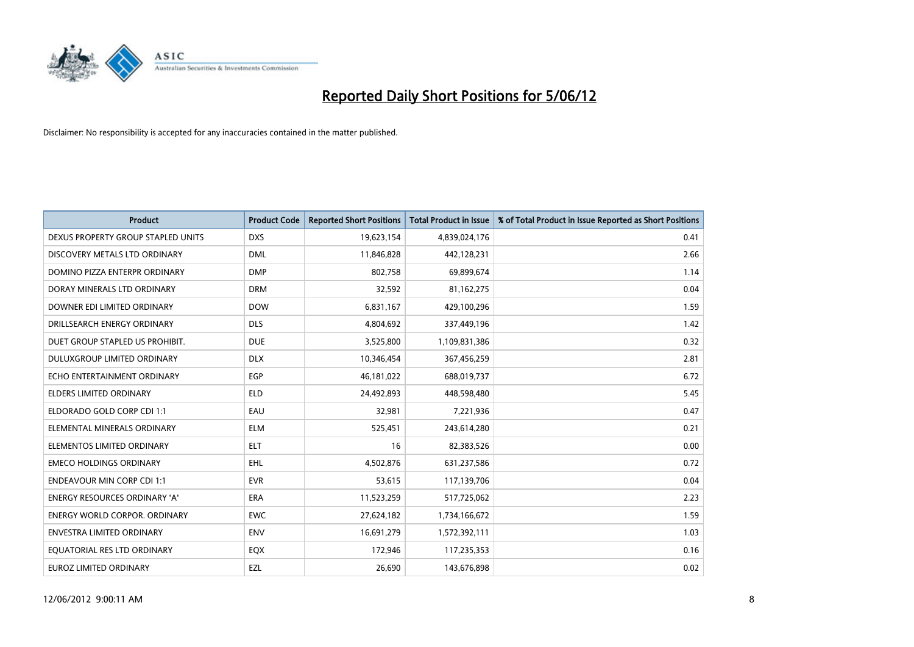

| <b>Product</b>                       | <b>Product Code</b> | <b>Reported Short Positions</b> | <b>Total Product in Issue</b> | % of Total Product in Issue Reported as Short Positions |
|--------------------------------------|---------------------|---------------------------------|-------------------------------|---------------------------------------------------------|
| DEXUS PROPERTY GROUP STAPLED UNITS   | <b>DXS</b>          | 19,623,154                      | 4,839,024,176                 | 0.41                                                    |
| DISCOVERY METALS LTD ORDINARY        | <b>DML</b>          | 11,846,828                      | 442,128,231                   | 2.66                                                    |
| DOMINO PIZZA ENTERPR ORDINARY        | <b>DMP</b>          | 802,758                         | 69,899,674                    | 1.14                                                    |
| DORAY MINERALS LTD ORDINARY          | <b>DRM</b>          | 32,592                          | 81,162,275                    | 0.04                                                    |
| DOWNER EDI LIMITED ORDINARY          | <b>DOW</b>          | 6,831,167                       | 429,100,296                   | 1.59                                                    |
| DRILLSEARCH ENERGY ORDINARY          | <b>DLS</b>          | 4,804,692                       | 337,449,196                   | 1.42                                                    |
| DUET GROUP STAPLED US PROHIBIT.      | <b>DUE</b>          | 3,525,800                       | 1,109,831,386                 | 0.32                                                    |
| DULUXGROUP LIMITED ORDINARY          | <b>DLX</b>          | 10,346,454                      | 367,456,259                   | 2.81                                                    |
| ECHO ENTERTAINMENT ORDINARY          | <b>EGP</b>          | 46, 181, 022                    | 688,019,737                   | 6.72                                                    |
| <b>ELDERS LIMITED ORDINARY</b>       | <b>ELD</b>          | 24,492,893                      | 448,598,480                   | 5.45                                                    |
| ELDORADO GOLD CORP CDI 1:1           | EAU                 | 32,981                          | 7,221,936                     | 0.47                                                    |
| ELEMENTAL MINERALS ORDINARY          | ELM                 | 525,451                         | 243,614,280                   | 0.21                                                    |
| ELEMENTOS LIMITED ORDINARY           | <b>ELT</b>          | 16                              | 82,383,526                    | 0.00                                                    |
| <b>EMECO HOLDINGS ORDINARY</b>       | <b>EHL</b>          | 4,502,876                       | 631,237,586                   | 0.72                                                    |
| <b>ENDEAVOUR MIN CORP CDI 1:1</b>    | <b>EVR</b>          | 53,615                          | 117,139,706                   | 0.04                                                    |
| <b>ENERGY RESOURCES ORDINARY 'A'</b> | <b>ERA</b>          | 11,523,259                      | 517,725,062                   | 2.23                                                    |
| <b>ENERGY WORLD CORPOR, ORDINARY</b> | <b>EWC</b>          | 27,624,182                      | 1,734,166,672                 | 1.59                                                    |
| ENVESTRA LIMITED ORDINARY            | <b>ENV</b>          | 16,691,279                      | 1,572,392,111                 | 1.03                                                    |
| EQUATORIAL RES LTD ORDINARY          | EQX                 | 172,946                         | 117,235,353                   | 0.16                                                    |
| <b>EUROZ LIMITED ORDINARY</b>        | EZL                 | 26.690                          | 143,676,898                   | 0.02                                                    |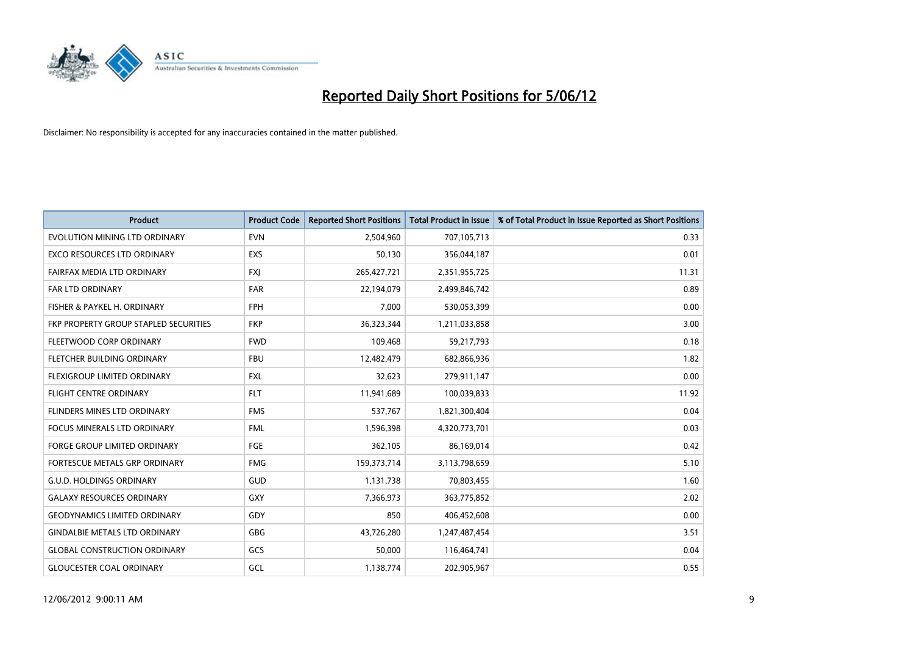

| <b>Product</b>                        | <b>Product Code</b> | <b>Reported Short Positions</b> | <b>Total Product in Issue</b> | % of Total Product in Issue Reported as Short Positions |
|---------------------------------------|---------------------|---------------------------------|-------------------------------|---------------------------------------------------------|
| EVOLUTION MINING LTD ORDINARY         | <b>EVN</b>          | 2,504,960                       | 707,105,713                   | 0.33                                                    |
| EXCO RESOURCES LTD ORDINARY           | <b>EXS</b>          | 50,130                          | 356,044,187                   | 0.01                                                    |
| FAIRFAX MEDIA LTD ORDINARY            | <b>FXJ</b>          | 265,427,721                     | 2,351,955,725                 | 11.31                                                   |
| FAR LTD ORDINARY                      | <b>FAR</b>          | 22,194,079                      | 2,499,846,742                 | 0.89                                                    |
| FISHER & PAYKEL H. ORDINARY           | <b>FPH</b>          | 7,000                           | 530,053,399                   | 0.00                                                    |
| FKP PROPERTY GROUP STAPLED SECURITIES | <b>FKP</b>          | 36,323,344                      | 1,211,033,858                 | 3.00                                                    |
| FLEETWOOD CORP ORDINARY               | <b>FWD</b>          | 109,468                         | 59,217,793                    | 0.18                                                    |
| FLETCHER BUILDING ORDINARY            | <b>FBU</b>          | 12,482,479                      | 682,866,936                   | 1.82                                                    |
| FLEXIGROUP LIMITED ORDINARY           | <b>FXL</b>          | 32,623                          | 279,911,147                   | 0.00                                                    |
| <b>FLIGHT CENTRE ORDINARY</b>         | <b>FLT</b>          | 11,941,689                      | 100,039,833                   | 11.92                                                   |
| FLINDERS MINES LTD ORDINARY           | <b>FMS</b>          | 537,767                         | 1,821,300,404                 | 0.04                                                    |
| <b>FOCUS MINERALS LTD ORDINARY</b>    | <b>FML</b>          | 1,596,398                       | 4,320,773,701                 | 0.03                                                    |
| <b>FORGE GROUP LIMITED ORDINARY</b>   | FGE                 | 362,105                         | 86,169,014                    | 0.42                                                    |
| FORTESCUE METALS GRP ORDINARY         | <b>FMG</b>          | 159,373,714                     | 3,113,798,659                 | 5.10                                                    |
| <b>G.U.D. HOLDINGS ORDINARY</b>       | GUD                 | 1,131,738                       | 70,803,455                    | 1.60                                                    |
| <b>GALAXY RESOURCES ORDINARY</b>      | GXY                 | 7,366,973                       | 363,775,852                   | 2.02                                                    |
| <b>GEODYNAMICS LIMITED ORDINARY</b>   | GDY                 | 850                             | 406,452,608                   | 0.00                                                    |
| <b>GINDALBIE METALS LTD ORDINARY</b>  | <b>GBG</b>          | 43,726,280                      | 1,247,487,454                 | 3.51                                                    |
| <b>GLOBAL CONSTRUCTION ORDINARY</b>   | GCS                 | 50,000                          | 116,464,741                   | 0.04                                                    |
| <b>GLOUCESTER COAL ORDINARY</b>       | GCL                 | 1,138,774                       | 202,905,967                   | 0.55                                                    |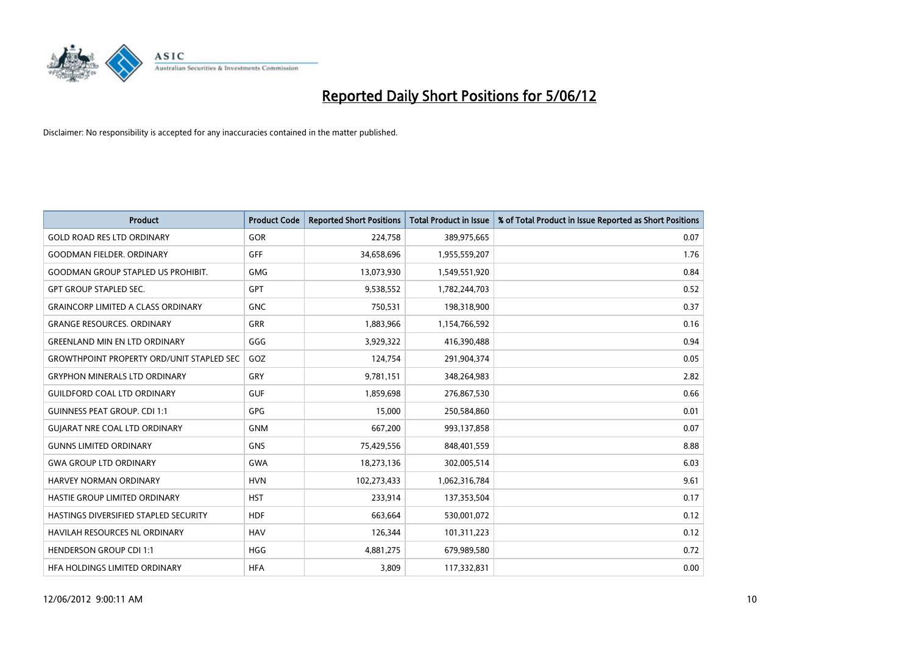

| <b>Product</b>                                   | <b>Product Code</b> | <b>Reported Short Positions</b> | <b>Total Product in Issue</b> | % of Total Product in Issue Reported as Short Positions |
|--------------------------------------------------|---------------------|---------------------------------|-------------------------------|---------------------------------------------------------|
| <b>GOLD ROAD RES LTD ORDINARY</b>                | <b>GOR</b>          | 224,758                         | 389,975,665                   | 0.07                                                    |
| <b>GOODMAN FIELDER, ORDINARY</b>                 | GFF                 | 34,658,696                      | 1,955,559,207                 | 1.76                                                    |
| <b>GOODMAN GROUP STAPLED US PROHIBIT.</b>        | <b>GMG</b>          | 13,073,930                      | 1,549,551,920                 | 0.84                                                    |
| <b>GPT GROUP STAPLED SEC.</b>                    | GPT                 | 9,538,552                       | 1,782,244,703                 | 0.52                                                    |
| <b>GRAINCORP LIMITED A CLASS ORDINARY</b>        | <b>GNC</b>          | 750,531                         | 198,318,900                   | 0.37                                                    |
| <b>GRANGE RESOURCES, ORDINARY</b>                | <b>GRR</b>          | 1,883,966                       | 1,154,766,592                 | 0.16                                                    |
| <b>GREENLAND MIN EN LTD ORDINARY</b>             | GGG                 | 3,929,322                       | 416,390,488                   | 0.94                                                    |
| <b>GROWTHPOINT PROPERTY ORD/UNIT STAPLED SEC</b> | GOZ                 | 124,754                         | 291,904,374                   | 0.05                                                    |
| <b>GRYPHON MINERALS LTD ORDINARY</b>             | GRY                 | 9,781,151                       | 348,264,983                   | 2.82                                                    |
| <b>GUILDFORD COAL LTD ORDINARY</b>               | <b>GUF</b>          | 1,859,698                       | 276,867,530                   | 0.66                                                    |
| <b>GUINNESS PEAT GROUP. CDI 1:1</b>              | <b>GPG</b>          | 15,000                          | 250,584,860                   | 0.01                                                    |
| <b>GUIARAT NRE COAL LTD ORDINARY</b>             | <b>GNM</b>          | 667,200                         | 993,137,858                   | 0.07                                                    |
| <b>GUNNS LIMITED ORDINARY</b>                    | <b>GNS</b>          | 75,429,556                      | 848,401,559                   | 8.88                                                    |
| <b>GWA GROUP LTD ORDINARY</b>                    | GWA                 | 18,273,136                      | 302,005,514                   | 6.03                                                    |
| HARVEY NORMAN ORDINARY                           | <b>HVN</b>          | 102,273,433                     | 1,062,316,784                 | 9.61                                                    |
| HASTIE GROUP LIMITED ORDINARY                    | <b>HST</b>          | 233,914                         | 137,353,504                   | 0.17                                                    |
| HASTINGS DIVERSIFIED STAPLED SECURITY            | <b>HDF</b>          | 663,664                         | 530,001,072                   | 0.12                                                    |
| HAVILAH RESOURCES NL ORDINARY                    | <b>HAV</b>          | 126,344                         | 101,311,223                   | 0.12                                                    |
| <b>HENDERSON GROUP CDI 1:1</b>                   | <b>HGG</b>          | 4,881,275                       | 679,989,580                   | 0.72                                                    |
| HFA HOLDINGS LIMITED ORDINARY                    | <b>HFA</b>          | 3,809                           | 117,332,831                   | 0.00                                                    |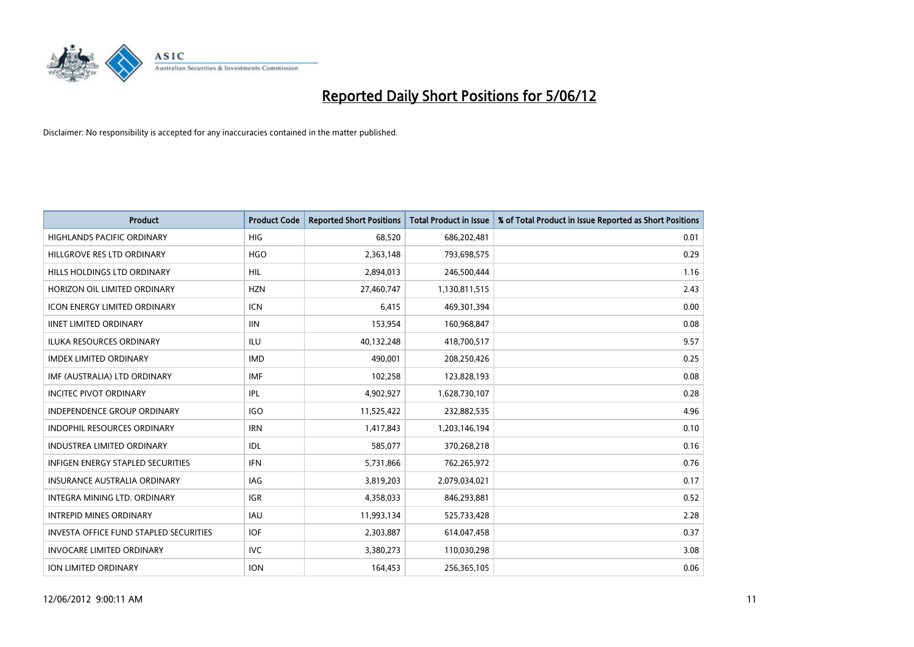

| <b>Product</b>                                | <b>Product Code</b> | <b>Reported Short Positions</b> | <b>Total Product in Issue</b> | % of Total Product in Issue Reported as Short Positions |
|-----------------------------------------------|---------------------|---------------------------------|-------------------------------|---------------------------------------------------------|
| <b>HIGHLANDS PACIFIC ORDINARY</b>             | <b>HIG</b>          | 68,520                          | 686,202,481                   | 0.01                                                    |
| HILLGROVE RES LTD ORDINARY                    | <b>HGO</b>          | 2,363,148                       | 793,698,575                   | 0.29                                                    |
| HILLS HOLDINGS LTD ORDINARY                   | <b>HIL</b>          | 2,894,013                       | 246,500,444                   | 1.16                                                    |
| HORIZON OIL LIMITED ORDINARY                  | <b>HZN</b>          | 27,460,747                      | 1,130,811,515                 | 2.43                                                    |
| <b>ICON ENERGY LIMITED ORDINARY</b>           | <b>ICN</b>          | 6,415                           | 469,301,394                   | 0.00                                                    |
| <b>IINET LIMITED ORDINARY</b>                 | <b>IIN</b>          | 153,954                         | 160,968,847                   | 0.08                                                    |
| <b>ILUKA RESOURCES ORDINARY</b>               | ILU                 | 40,132,248                      | 418,700,517                   | 9.57                                                    |
| <b>IMDEX LIMITED ORDINARY</b>                 | <b>IMD</b>          | 490,001                         | 208,250,426                   | 0.25                                                    |
| IMF (AUSTRALIA) LTD ORDINARY                  | <b>IMF</b>          | 102,258                         | 123,828,193                   | 0.08                                                    |
| <b>INCITEC PIVOT ORDINARY</b>                 | IPL                 | 4,902,927                       | 1,628,730,107                 | 0.28                                                    |
| INDEPENDENCE GROUP ORDINARY                   | <b>IGO</b>          | 11,525,422                      | 232,882,535                   | 4.96                                                    |
| <b>INDOPHIL RESOURCES ORDINARY</b>            | <b>IRN</b>          | 1,417,843                       | 1,203,146,194                 | 0.10                                                    |
| <b>INDUSTREA LIMITED ORDINARY</b>             | <b>IDL</b>          | 585,077                         | 370,268,218                   | 0.16                                                    |
| <b>INFIGEN ENERGY STAPLED SECURITIES</b>      | <b>IFN</b>          | 5,731,866                       | 762,265,972                   | 0.76                                                    |
| <b>INSURANCE AUSTRALIA ORDINARY</b>           | <b>IAG</b>          | 3,819,203                       | 2,079,034,021                 | 0.17                                                    |
| INTEGRA MINING LTD, ORDINARY                  | IGR                 | 4,358,033                       | 846,293,881                   | 0.52                                                    |
| <b>INTREPID MINES ORDINARY</b>                | <b>IAU</b>          | 11,993,134                      | 525,733,428                   | 2.28                                                    |
| <b>INVESTA OFFICE FUND STAPLED SECURITIES</b> | <b>IOF</b>          | 2,303,887                       | 614,047,458                   | 0.37                                                    |
| <b>INVOCARE LIMITED ORDINARY</b>              | <b>IVC</b>          | 3,380,273                       | 110,030,298                   | 3.08                                                    |
| ION LIMITED ORDINARY                          | <b>ION</b>          | 164,453                         | 256,365,105                   | 0.06                                                    |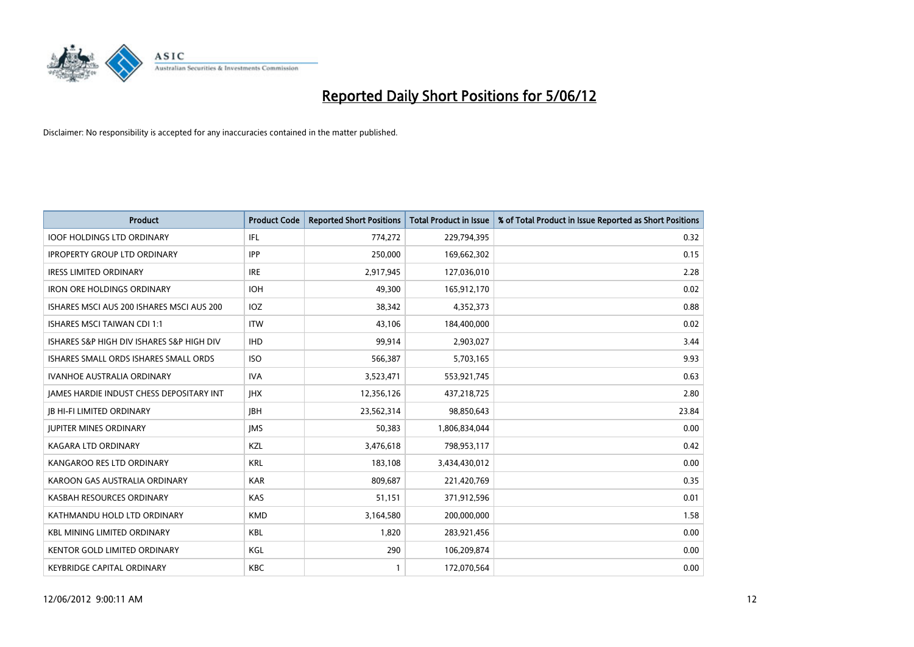

| <b>Product</b>                            | <b>Product Code</b> | <b>Reported Short Positions</b> | <b>Total Product in Issue</b> | % of Total Product in Issue Reported as Short Positions |
|-------------------------------------------|---------------------|---------------------------------|-------------------------------|---------------------------------------------------------|
| <b>IOOF HOLDINGS LTD ORDINARY</b>         | IFL                 | 774,272                         | 229,794,395                   | 0.32                                                    |
| <b>IPROPERTY GROUP LTD ORDINARY</b>       | <b>IPP</b>          | 250,000                         | 169,662,302                   | 0.15                                                    |
| <b>IRESS LIMITED ORDINARY</b>             | <b>IRE</b>          | 2,917,945                       | 127,036,010                   | 2.28                                                    |
| <b>IRON ORE HOLDINGS ORDINARY</b>         | <b>IOH</b>          | 49.300                          | 165,912,170                   | 0.02                                                    |
| ISHARES MSCI AUS 200 ISHARES MSCI AUS 200 | IOZ                 | 38,342                          | 4,352,373                     | 0.88                                                    |
| <b>ISHARES MSCI TAIWAN CDI 1:1</b>        | <b>ITW</b>          | 43,106                          | 184,400,000                   | 0.02                                                    |
| ISHARES S&P HIGH DIV ISHARES S&P HIGH DIV | <b>IHD</b>          | 99.914                          | 2,903,027                     | 3.44                                                    |
| ISHARES SMALL ORDS ISHARES SMALL ORDS     | <b>ISO</b>          | 566,387                         | 5,703,165                     | 9.93                                                    |
| <b>IVANHOE AUSTRALIA ORDINARY</b>         | <b>IVA</b>          | 3,523,471                       | 553,921,745                   | 0.63                                                    |
| JAMES HARDIE INDUST CHESS DEPOSITARY INT  | <b>IHX</b>          | 12,356,126                      | 437,218,725                   | 2.80                                                    |
| <b>JB HI-FI LIMITED ORDINARY</b>          | <b>JBH</b>          | 23,562,314                      | 98,850,643                    | 23.84                                                   |
| <b>JUPITER MINES ORDINARY</b>             | <b>IMS</b>          | 50,383                          | 1,806,834,044                 | 0.00                                                    |
| <b>KAGARA LTD ORDINARY</b>                | KZL                 | 3,476,618                       | 798,953,117                   | 0.42                                                    |
| KANGAROO RES LTD ORDINARY                 | <b>KRL</b>          | 183,108                         | 3,434,430,012                 | 0.00                                                    |
| KAROON GAS AUSTRALIA ORDINARY             | <b>KAR</b>          | 809,687                         | 221,420,769                   | 0.35                                                    |
| KASBAH RESOURCES ORDINARY                 | <b>KAS</b>          | 51,151                          | 371,912,596                   | 0.01                                                    |
| KATHMANDU HOLD LTD ORDINARY               | <b>KMD</b>          | 3,164,580                       | 200,000,000                   | 1.58                                                    |
| <b>KBL MINING LIMITED ORDINARY</b>        | <b>KBL</b>          | 1.820                           | 283,921,456                   | 0.00                                                    |
| <b>KENTOR GOLD LIMITED ORDINARY</b>       | KGL                 | 290                             | 106,209,874                   | 0.00                                                    |
| KEYBRIDGE CAPITAL ORDINARY                | <b>KBC</b>          | 1                               | 172,070,564                   | 0.00                                                    |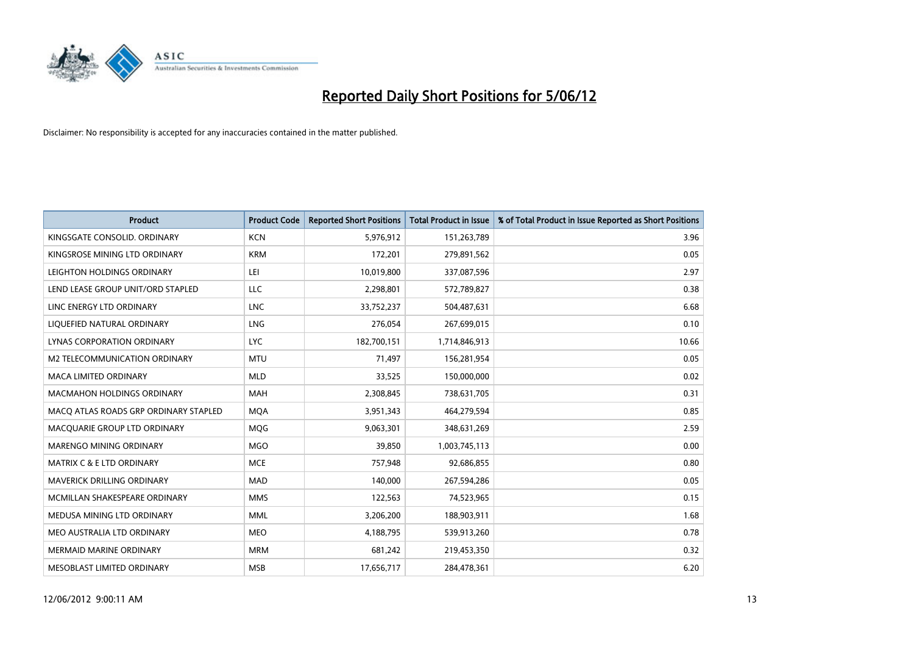

| <b>Product</b>                        | <b>Product Code</b> | <b>Reported Short Positions</b> | <b>Total Product in Issue</b> | % of Total Product in Issue Reported as Short Positions |
|---------------------------------------|---------------------|---------------------------------|-------------------------------|---------------------------------------------------------|
| KINGSGATE CONSOLID. ORDINARY          | <b>KCN</b>          | 5,976,912                       | 151,263,789                   | 3.96                                                    |
| KINGSROSE MINING LTD ORDINARY         | <b>KRM</b>          | 172,201                         | 279,891,562                   | 0.05                                                    |
| LEIGHTON HOLDINGS ORDINARY            | LEI                 | 10,019,800                      | 337,087,596                   | 2.97                                                    |
| LEND LEASE GROUP UNIT/ORD STAPLED     | LLC                 | 2,298,801                       | 572,789,827                   | 0.38                                                    |
| LINC ENERGY LTD ORDINARY              | <b>LNC</b>          | 33,752,237                      | 504,487,631                   | 6.68                                                    |
| LIQUEFIED NATURAL ORDINARY            | <b>LNG</b>          | 276,054                         | 267,699,015                   | 0.10                                                    |
| LYNAS CORPORATION ORDINARY            | <b>LYC</b>          | 182,700,151                     | 1,714,846,913                 | 10.66                                                   |
| M2 TELECOMMUNICATION ORDINARY         | <b>MTU</b>          | 71,497                          | 156,281,954                   | 0.05                                                    |
| <b>MACA LIMITED ORDINARY</b>          | <b>MLD</b>          | 33,525                          | 150,000,000                   | 0.02                                                    |
| <b>MACMAHON HOLDINGS ORDINARY</b>     | <b>MAH</b>          | 2,308,845                       | 738,631,705                   | 0.31                                                    |
| MACO ATLAS ROADS GRP ORDINARY STAPLED | <b>MOA</b>          | 3,951,343                       | 464,279,594                   | 0.85                                                    |
| MACQUARIE GROUP LTD ORDINARY          | <b>MQG</b>          | 9,063,301                       | 348,631,269                   | 2.59                                                    |
| MARENGO MINING ORDINARY               | <b>MGO</b>          | 39,850                          | 1,003,745,113                 | 0.00                                                    |
| <b>MATRIX C &amp; E LTD ORDINARY</b>  | <b>MCE</b>          | 757,948                         | 92,686,855                    | 0.80                                                    |
| <b>MAVERICK DRILLING ORDINARY</b>     | <b>MAD</b>          | 140,000                         | 267,594,286                   | 0.05                                                    |
| MCMILLAN SHAKESPEARE ORDINARY         | <b>MMS</b>          | 122,563                         | 74,523,965                    | 0.15                                                    |
| MEDUSA MINING LTD ORDINARY            | <b>MML</b>          | 3,206,200                       | 188,903,911                   | 1.68                                                    |
| MEO AUSTRALIA LTD ORDINARY            | <b>MEO</b>          | 4,188,795                       | 539,913,260                   | 0.78                                                    |
| <b>MERMAID MARINE ORDINARY</b>        | <b>MRM</b>          | 681,242                         | 219,453,350                   | 0.32                                                    |
| MESOBLAST LIMITED ORDINARY            | <b>MSB</b>          | 17,656,717                      | 284,478,361                   | 6.20                                                    |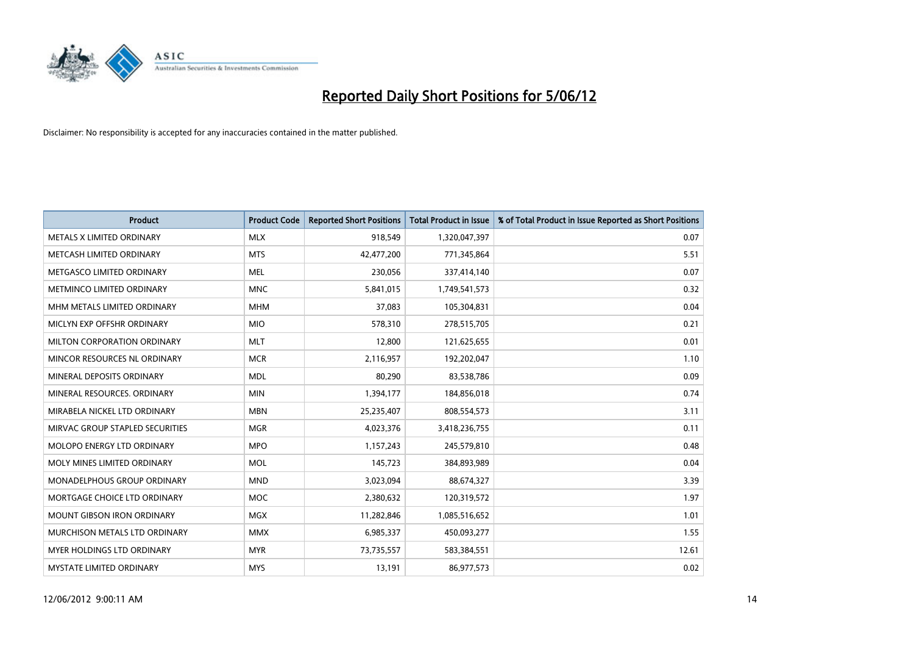

| <b>Product</b>                  | <b>Product Code</b> | <b>Reported Short Positions</b> | <b>Total Product in Issue</b> | % of Total Product in Issue Reported as Short Positions |
|---------------------------------|---------------------|---------------------------------|-------------------------------|---------------------------------------------------------|
| METALS X LIMITED ORDINARY       | <b>MLX</b>          | 918,549                         | 1,320,047,397                 | 0.07                                                    |
| METCASH LIMITED ORDINARY        | <b>MTS</b>          | 42,477,200                      | 771,345,864                   | 5.51                                                    |
| METGASCO LIMITED ORDINARY       | <b>MEL</b>          | 230,056                         | 337,414,140                   | 0.07                                                    |
| METMINCO LIMITED ORDINARY       | <b>MNC</b>          | 5,841,015                       | 1,749,541,573                 | 0.32                                                    |
| MHM METALS LIMITED ORDINARY     | <b>MHM</b>          | 37,083                          | 105,304,831                   | 0.04                                                    |
| MICLYN EXP OFFSHR ORDINARY      | <b>MIO</b>          | 578,310                         | 278,515,705                   | 0.21                                                    |
| MILTON CORPORATION ORDINARY     | <b>MLT</b>          | 12,800                          | 121,625,655                   | 0.01                                                    |
| MINCOR RESOURCES NL ORDINARY    | <b>MCR</b>          | 2,116,957                       | 192,202,047                   | 1.10                                                    |
| MINERAL DEPOSITS ORDINARY       | <b>MDL</b>          | 80,290                          | 83,538,786                    | 0.09                                                    |
| MINERAL RESOURCES, ORDINARY     | <b>MIN</b>          | 1,394,177                       | 184,856,018                   | 0.74                                                    |
| MIRABELA NICKEL LTD ORDINARY    | <b>MBN</b>          | 25,235,407                      | 808,554,573                   | 3.11                                                    |
| MIRVAC GROUP STAPLED SECURITIES | <b>MGR</b>          | 4,023,376                       | 3,418,236,755                 | 0.11                                                    |
| MOLOPO ENERGY LTD ORDINARY      | <b>MPO</b>          | 1,157,243                       | 245,579,810                   | 0.48                                                    |
| MOLY MINES LIMITED ORDINARY     | <b>MOL</b>          | 145,723                         | 384,893,989                   | 0.04                                                    |
| MONADELPHOUS GROUP ORDINARY     | <b>MND</b>          | 3,023,094                       | 88,674,327                    | 3.39                                                    |
| MORTGAGE CHOICE LTD ORDINARY    | <b>MOC</b>          | 2,380,632                       | 120,319,572                   | 1.97                                                    |
| MOUNT GIBSON IRON ORDINARY      | <b>MGX</b>          | 11,282,846                      | 1,085,516,652                 | 1.01                                                    |
| MURCHISON METALS LTD ORDINARY   | <b>MMX</b>          | 6,985,337                       | 450,093,277                   | 1.55                                                    |
| MYER HOLDINGS LTD ORDINARY      | <b>MYR</b>          | 73,735,557                      | 583,384,551                   | 12.61                                                   |
| MYSTATE LIMITED ORDINARY        | <b>MYS</b>          | 13,191                          | 86,977,573                    | 0.02                                                    |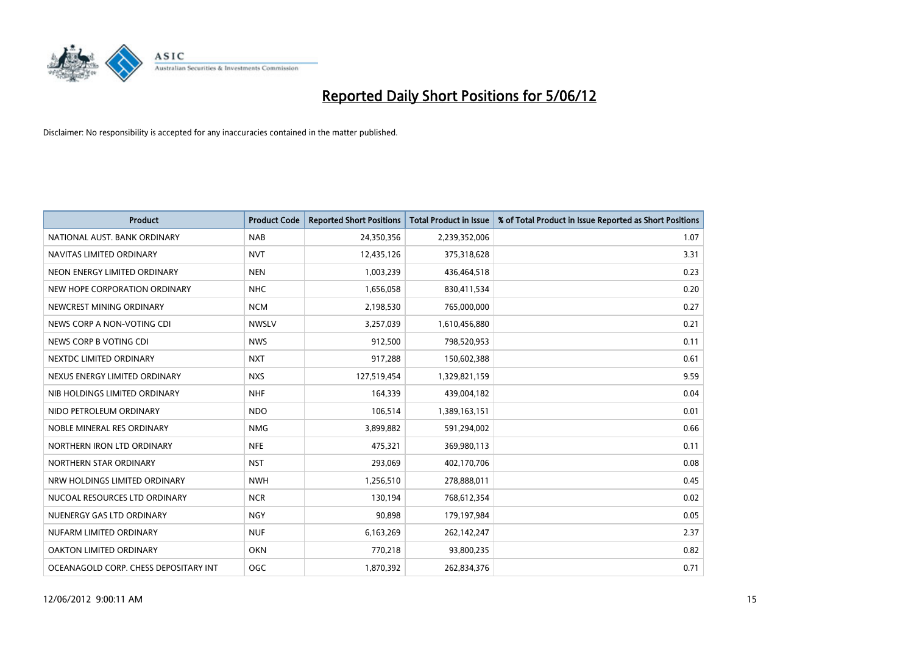

| <b>Product</b>                        | <b>Product Code</b> | <b>Reported Short Positions</b> | <b>Total Product in Issue</b> | % of Total Product in Issue Reported as Short Positions |
|---------------------------------------|---------------------|---------------------------------|-------------------------------|---------------------------------------------------------|
| NATIONAL AUST. BANK ORDINARY          | <b>NAB</b>          | 24,350,356                      | 2,239,352,006                 | 1.07                                                    |
| NAVITAS LIMITED ORDINARY              | <b>NVT</b>          | 12,435,126                      | 375,318,628                   | 3.31                                                    |
| NEON ENERGY LIMITED ORDINARY          | <b>NEN</b>          | 1,003,239                       | 436,464,518                   | 0.23                                                    |
| NEW HOPE CORPORATION ORDINARY         | <b>NHC</b>          | 1,656,058                       | 830,411,534                   | 0.20                                                    |
| NEWCREST MINING ORDINARY              | <b>NCM</b>          | 2,198,530                       | 765,000,000                   | 0.27                                                    |
| NEWS CORP A NON-VOTING CDI            | <b>NWSLV</b>        | 3,257,039                       | 1,610,456,880                 | 0.21                                                    |
| NEWS CORP B VOTING CDI                | <b>NWS</b>          | 912,500                         | 798,520,953                   | 0.11                                                    |
| NEXTDC LIMITED ORDINARY               | <b>NXT</b>          | 917,288                         | 150,602,388                   | 0.61                                                    |
| NEXUS ENERGY LIMITED ORDINARY         | <b>NXS</b>          | 127,519,454                     | 1,329,821,159                 | 9.59                                                    |
| NIB HOLDINGS LIMITED ORDINARY         | <b>NHF</b>          | 164,339                         | 439,004,182                   | 0.04                                                    |
| NIDO PETROLEUM ORDINARY               | <b>NDO</b>          | 106,514                         | 1,389,163,151                 | 0.01                                                    |
| NOBLE MINERAL RES ORDINARY            | <b>NMG</b>          | 3,899,882                       | 591,294,002                   | 0.66                                                    |
| NORTHERN IRON LTD ORDINARY            | <b>NFE</b>          | 475,321                         | 369,980,113                   | 0.11                                                    |
| NORTHERN STAR ORDINARY                | <b>NST</b>          | 293,069                         | 402,170,706                   | 0.08                                                    |
| NRW HOLDINGS LIMITED ORDINARY         | <b>NWH</b>          | 1,256,510                       | 278,888,011                   | 0.45                                                    |
| NUCOAL RESOURCES LTD ORDINARY         | <b>NCR</b>          | 130,194                         | 768,612,354                   | 0.02                                                    |
| NUENERGY GAS LTD ORDINARY             | <b>NGY</b>          | 90,898                          | 179,197,984                   | 0.05                                                    |
| NUFARM LIMITED ORDINARY               | <b>NUF</b>          | 6,163,269                       | 262,142,247                   | 2.37                                                    |
| OAKTON LIMITED ORDINARY               | <b>OKN</b>          | 770,218                         | 93,800,235                    | 0.82                                                    |
| OCEANAGOLD CORP. CHESS DEPOSITARY INT | OGC                 | 1,870,392                       | 262,834,376                   | 0.71                                                    |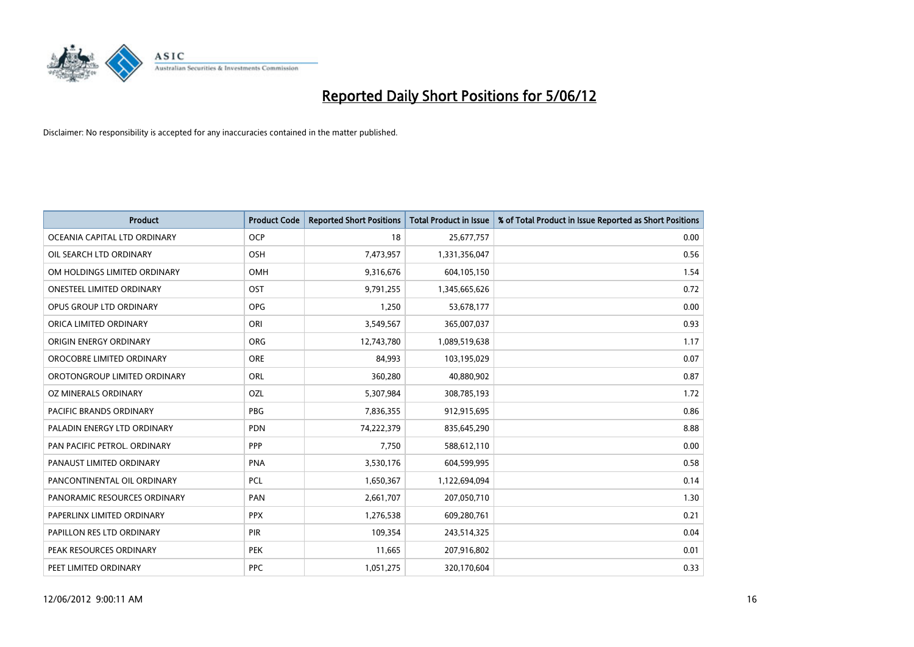

| <b>Product</b>               | <b>Product Code</b> | <b>Reported Short Positions</b> | <b>Total Product in Issue</b> | % of Total Product in Issue Reported as Short Positions |
|------------------------------|---------------------|---------------------------------|-------------------------------|---------------------------------------------------------|
| OCEANIA CAPITAL LTD ORDINARY | <b>OCP</b>          | 18                              | 25,677,757                    | 0.00                                                    |
| OIL SEARCH LTD ORDINARY      | OSH                 | 7,473,957                       | 1,331,356,047                 | 0.56                                                    |
| OM HOLDINGS LIMITED ORDINARY | <b>OMH</b>          | 9,316,676                       | 604,105,150                   | 1.54                                                    |
| ONESTEEL LIMITED ORDINARY    | OST                 | 9,791,255                       | 1,345,665,626                 | 0.72                                                    |
| OPUS GROUP LTD ORDINARY      | <b>OPG</b>          | 1,250                           | 53,678,177                    | 0.00                                                    |
| ORICA LIMITED ORDINARY       | ORI                 | 3,549,567                       | 365,007,037                   | 0.93                                                    |
| ORIGIN ENERGY ORDINARY       | <b>ORG</b>          | 12,743,780                      | 1,089,519,638                 | 1.17                                                    |
| OROCOBRE LIMITED ORDINARY    | <b>ORE</b>          | 84,993                          | 103,195,029                   | 0.07                                                    |
| OROTONGROUP LIMITED ORDINARY | ORL                 | 360,280                         | 40,880,902                    | 0.87                                                    |
| OZ MINERALS ORDINARY         | OZL                 | 5,307,984                       | 308,785,193                   | 1.72                                                    |
| PACIFIC BRANDS ORDINARY      | <b>PBG</b>          | 7,836,355                       | 912,915,695                   | 0.86                                                    |
| PALADIN ENERGY LTD ORDINARY  | <b>PDN</b>          | 74,222,379                      | 835,645,290                   | 8.88                                                    |
| PAN PACIFIC PETROL. ORDINARY | PPP                 | 7,750                           | 588,612,110                   | 0.00                                                    |
| PANAUST LIMITED ORDINARY     | <b>PNA</b>          | 3,530,176                       | 604,599,995                   | 0.58                                                    |
| PANCONTINENTAL OIL ORDINARY  | <b>PCL</b>          | 1,650,367                       | 1,122,694,094                 | 0.14                                                    |
| PANORAMIC RESOURCES ORDINARY | PAN                 | 2,661,707                       | 207,050,710                   | 1.30                                                    |
| PAPERLINX LIMITED ORDINARY   | <b>PPX</b>          | 1,276,538                       | 609,280,761                   | 0.21                                                    |
| PAPILLON RES LTD ORDINARY    | PIR                 | 109,354                         | 243,514,325                   | 0.04                                                    |
| PEAK RESOURCES ORDINARY      | <b>PEK</b>          | 11,665                          | 207,916,802                   | 0.01                                                    |
| PEET LIMITED ORDINARY        | <b>PPC</b>          | 1,051,275                       | 320,170,604                   | 0.33                                                    |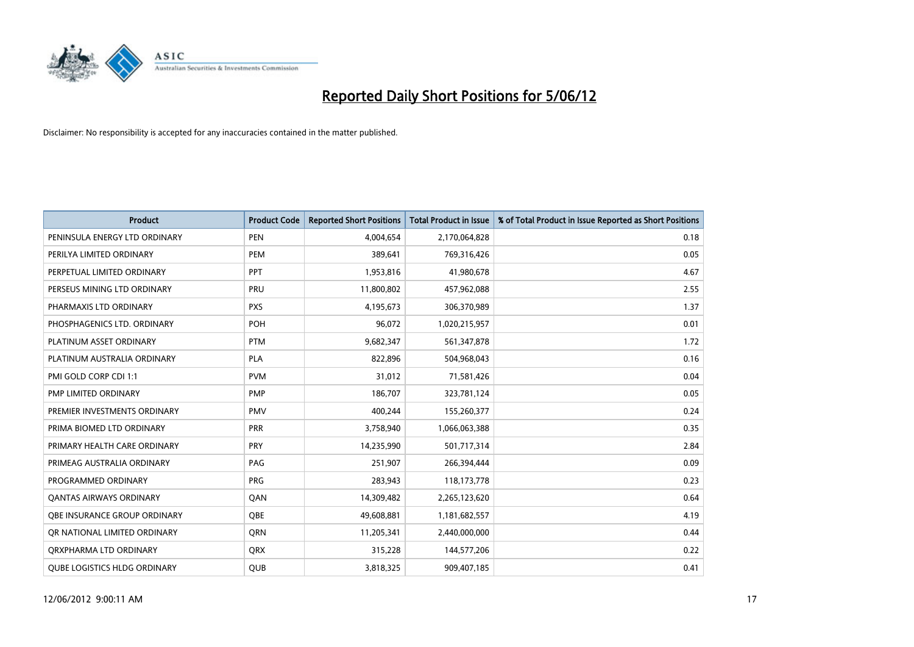

| <b>Product</b>                      | <b>Product Code</b> | <b>Reported Short Positions</b> | <b>Total Product in Issue</b> | % of Total Product in Issue Reported as Short Positions |
|-------------------------------------|---------------------|---------------------------------|-------------------------------|---------------------------------------------------------|
| PENINSULA ENERGY LTD ORDINARY       | <b>PEN</b>          | 4,004,654                       | 2,170,064,828                 | 0.18                                                    |
| PERILYA LIMITED ORDINARY            | <b>PEM</b>          | 389,641                         | 769,316,426                   | 0.05                                                    |
| PERPETUAL LIMITED ORDINARY          | PPT                 | 1,953,816                       | 41,980,678                    | 4.67                                                    |
| PERSEUS MINING LTD ORDINARY         | PRU                 | 11,800,802                      | 457,962,088                   | 2.55                                                    |
| PHARMAXIS LTD ORDINARY              | <b>PXS</b>          | 4,195,673                       | 306,370,989                   | 1.37                                                    |
| PHOSPHAGENICS LTD. ORDINARY         | POH                 | 96,072                          | 1,020,215,957                 | 0.01                                                    |
| PLATINUM ASSET ORDINARY             | <b>PTM</b>          | 9,682,347                       | 561,347,878                   | 1.72                                                    |
| PLATINUM AUSTRALIA ORDINARY         | PLA                 | 822,896                         | 504,968,043                   | 0.16                                                    |
| PMI GOLD CORP CDI 1:1               | <b>PVM</b>          | 31,012                          | 71,581,426                    | 0.04                                                    |
| <b>PMP LIMITED ORDINARY</b>         | <b>PMP</b>          | 186,707                         | 323,781,124                   | 0.05                                                    |
| PREMIER INVESTMENTS ORDINARY        | <b>PMV</b>          | 400,244                         | 155,260,377                   | 0.24                                                    |
| PRIMA BIOMED LTD ORDINARY           | <b>PRR</b>          | 3,758,940                       | 1,066,063,388                 | 0.35                                                    |
| PRIMARY HEALTH CARE ORDINARY        | <b>PRY</b>          | 14,235,990                      | 501,717,314                   | 2.84                                                    |
| PRIMEAG AUSTRALIA ORDINARY          | PAG                 | 251,907                         | 266,394,444                   | 0.09                                                    |
| PROGRAMMED ORDINARY                 | <b>PRG</b>          | 283,943                         | 118,173,778                   | 0.23                                                    |
| <b>QANTAS AIRWAYS ORDINARY</b>      | QAN                 | 14,309,482                      | 2,265,123,620                 | 0.64                                                    |
| OBE INSURANCE GROUP ORDINARY        | <b>OBE</b>          | 49,608,881                      | 1,181,682,557                 | 4.19                                                    |
| OR NATIONAL LIMITED ORDINARY        | <b>ORN</b>          | 11,205,341                      | 2,440,000,000                 | 0.44                                                    |
| ORXPHARMA LTD ORDINARY              | <b>QRX</b>          | 315,228                         | 144,577,206                   | 0.22                                                    |
| <b>QUBE LOGISTICS HLDG ORDINARY</b> | QUB                 | 3,818,325                       | 909,407,185                   | 0.41                                                    |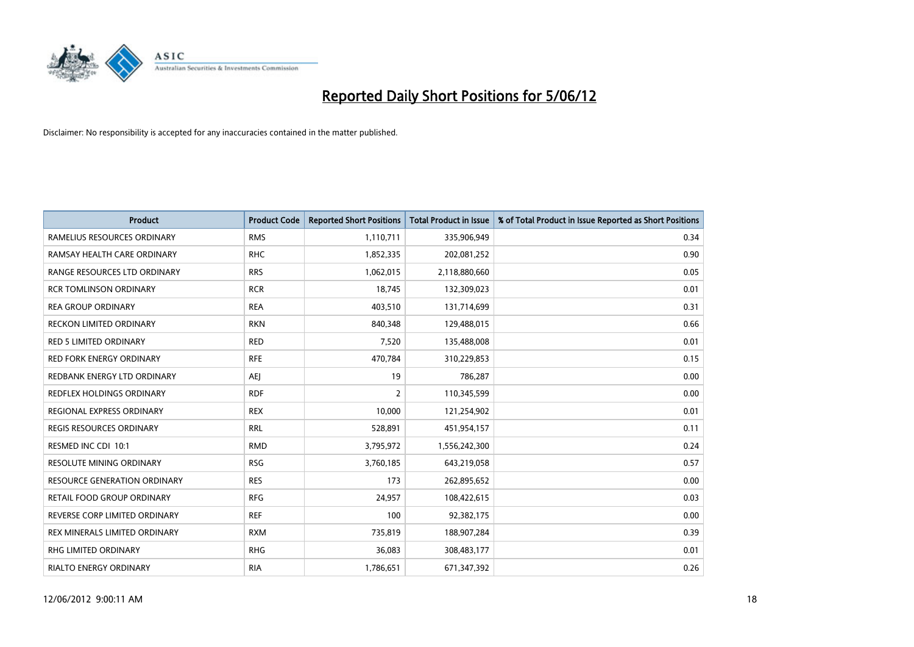

| <b>Product</b>                      | <b>Product Code</b> | <b>Reported Short Positions</b> | <b>Total Product in Issue</b> | % of Total Product in Issue Reported as Short Positions |
|-------------------------------------|---------------------|---------------------------------|-------------------------------|---------------------------------------------------------|
| RAMELIUS RESOURCES ORDINARY         | <b>RMS</b>          | 1,110,711                       | 335,906,949                   | 0.34                                                    |
| RAMSAY HEALTH CARE ORDINARY         | <b>RHC</b>          | 1,852,335                       | 202,081,252                   | 0.90                                                    |
| RANGE RESOURCES LTD ORDINARY        | <b>RRS</b>          | 1,062,015                       | 2,118,880,660                 | 0.05                                                    |
| <b>RCR TOMLINSON ORDINARY</b>       | <b>RCR</b>          | 18,745                          | 132,309,023                   | 0.01                                                    |
| <b>REA GROUP ORDINARY</b>           | <b>REA</b>          | 403,510                         | 131,714,699                   | 0.31                                                    |
| <b>RECKON LIMITED ORDINARY</b>      | <b>RKN</b>          | 840,348                         | 129,488,015                   | 0.66                                                    |
| <b>RED 5 LIMITED ORDINARY</b>       | <b>RED</b>          | 7,520                           | 135,488,008                   | 0.01                                                    |
| RED FORK ENERGY ORDINARY            | <b>RFE</b>          | 470,784                         | 310,229,853                   | 0.15                                                    |
| REDBANK ENERGY LTD ORDINARY         | AEJ                 | 19                              | 786,287                       | 0.00                                                    |
| <b>REDFLEX HOLDINGS ORDINARY</b>    | <b>RDF</b>          | $\overline{2}$                  | 110,345,599                   | 0.00                                                    |
| REGIONAL EXPRESS ORDINARY           | <b>REX</b>          | 10,000                          | 121,254,902                   | 0.01                                                    |
| <b>REGIS RESOURCES ORDINARY</b>     | <b>RRL</b>          | 528,891                         | 451,954,157                   | 0.11                                                    |
| RESMED INC CDI 10:1                 | <b>RMD</b>          | 3,795,972                       | 1,556,242,300                 | 0.24                                                    |
| RESOLUTE MINING ORDINARY            | <b>RSG</b>          | 3,760,185                       | 643,219,058                   | 0.57                                                    |
| <b>RESOURCE GENERATION ORDINARY</b> | <b>RES</b>          | 173                             | 262,895,652                   | 0.00                                                    |
| RETAIL FOOD GROUP ORDINARY          | <b>RFG</b>          | 24,957                          | 108,422,615                   | 0.03                                                    |
| REVERSE CORP LIMITED ORDINARY       | <b>REF</b>          | 100                             | 92,382,175                    | 0.00                                                    |
| REX MINERALS LIMITED ORDINARY       | <b>RXM</b>          | 735,819                         | 188,907,284                   | 0.39                                                    |
| <b>RHG LIMITED ORDINARY</b>         | <b>RHG</b>          | 36,083                          | 308,483,177                   | 0.01                                                    |
| RIALTO ENERGY ORDINARY              | <b>RIA</b>          | 1,786,651                       | 671,347,392                   | 0.26                                                    |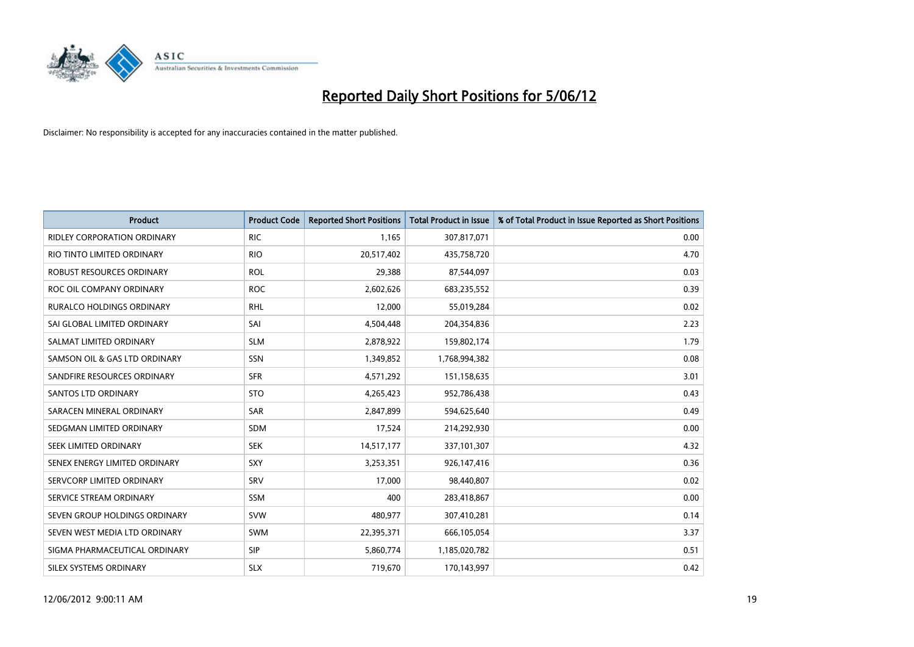

| <b>Product</b>                     | <b>Product Code</b> | <b>Reported Short Positions</b> | <b>Total Product in Issue</b> | % of Total Product in Issue Reported as Short Positions |
|------------------------------------|---------------------|---------------------------------|-------------------------------|---------------------------------------------------------|
| <b>RIDLEY CORPORATION ORDINARY</b> | <b>RIC</b>          | 1,165                           | 307,817,071                   | 0.00                                                    |
| RIO TINTO LIMITED ORDINARY         | <b>RIO</b>          | 20,517,402                      | 435,758,720                   | 4.70                                                    |
| ROBUST RESOURCES ORDINARY          | <b>ROL</b>          | 29,388                          | 87,544,097                    | 0.03                                                    |
| ROC OIL COMPANY ORDINARY           | <b>ROC</b>          | 2,602,626                       | 683,235,552                   | 0.39                                                    |
| <b>RURALCO HOLDINGS ORDINARY</b>   | <b>RHL</b>          | 12,000                          | 55,019,284                    | 0.02                                                    |
| SAI GLOBAL LIMITED ORDINARY        | SAI                 | 4,504,448                       | 204,354,836                   | 2.23                                                    |
| SALMAT LIMITED ORDINARY            | <b>SLM</b>          | 2,878,922                       | 159,802,174                   | 1.79                                                    |
| SAMSON OIL & GAS LTD ORDINARY      | SSN                 | 1,349,852                       | 1,768,994,382                 | 0.08                                                    |
| SANDFIRE RESOURCES ORDINARY        | <b>SFR</b>          | 4,571,292                       | 151,158,635                   | 3.01                                                    |
| SANTOS LTD ORDINARY                | <b>STO</b>          | 4,265,423                       | 952,786,438                   | 0.43                                                    |
| SARACEN MINERAL ORDINARY           | SAR                 | 2,847,899                       | 594,625,640                   | 0.49                                                    |
| SEDGMAN LIMITED ORDINARY           | SDM                 | 17,524                          | 214,292,930                   | 0.00                                                    |
| SEEK LIMITED ORDINARY              | <b>SEK</b>          | 14,517,177                      | 337,101,307                   | 4.32                                                    |
| SENEX ENERGY LIMITED ORDINARY      | <b>SXY</b>          | 3,253,351                       | 926,147,416                   | 0.36                                                    |
| SERVCORP LIMITED ORDINARY          | SRV                 | 17,000                          | 98,440,807                    | 0.02                                                    |
| SERVICE STREAM ORDINARY            | <b>SSM</b>          | 400                             | 283,418,867                   | 0.00                                                    |
| SEVEN GROUP HOLDINGS ORDINARY      | <b>SVW</b>          | 480,977                         | 307,410,281                   | 0.14                                                    |
| SEVEN WEST MEDIA LTD ORDINARY      | SWM                 | 22,395,371                      | 666,105,054                   | 3.37                                                    |
| SIGMA PHARMACEUTICAL ORDINARY      | <b>SIP</b>          | 5,860,774                       | 1,185,020,782                 | 0.51                                                    |
| SILEX SYSTEMS ORDINARY             | <b>SLX</b>          | 719,670                         | 170,143,997                   | 0.42                                                    |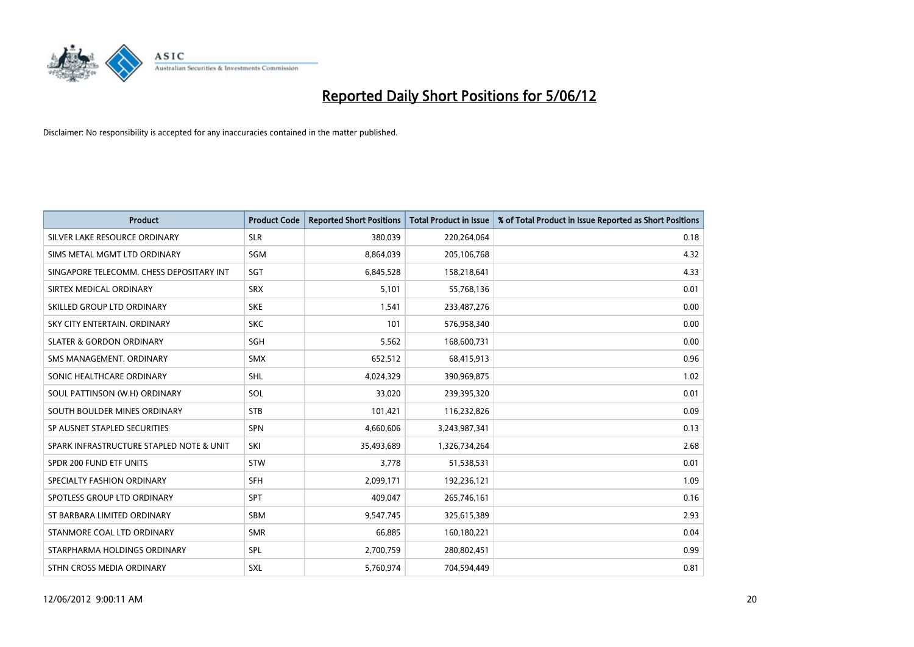

| <b>Product</b>                           | <b>Product Code</b> | <b>Reported Short Positions</b> | <b>Total Product in Issue</b> | % of Total Product in Issue Reported as Short Positions |
|------------------------------------------|---------------------|---------------------------------|-------------------------------|---------------------------------------------------------|
| SILVER LAKE RESOURCE ORDINARY            | <b>SLR</b>          | 380,039                         | 220,264,064                   | 0.18                                                    |
| SIMS METAL MGMT LTD ORDINARY             | <b>SGM</b>          | 8,864,039                       | 205,106,768                   | 4.32                                                    |
| SINGAPORE TELECOMM. CHESS DEPOSITARY INT | SGT                 | 6,845,528                       | 158,218,641                   | 4.33                                                    |
| SIRTEX MEDICAL ORDINARY                  | <b>SRX</b>          | 5,101                           | 55,768,136                    | 0.01                                                    |
| SKILLED GROUP LTD ORDINARY               | <b>SKE</b>          | 1,541                           | 233,487,276                   | 0.00                                                    |
| SKY CITY ENTERTAIN, ORDINARY             | <b>SKC</b>          | 101                             | 576,958,340                   | 0.00                                                    |
| <b>SLATER &amp; GORDON ORDINARY</b>      | SGH                 | 5,562                           | 168,600,731                   | 0.00                                                    |
| SMS MANAGEMENT, ORDINARY                 | <b>SMX</b>          | 652,512                         | 68,415,913                    | 0.96                                                    |
| SONIC HEALTHCARE ORDINARY                | <b>SHL</b>          | 4,024,329                       | 390,969,875                   | 1.02                                                    |
| SOUL PATTINSON (W.H) ORDINARY            | SOL                 | 33,020                          | 239,395,320                   | 0.01                                                    |
| SOUTH BOULDER MINES ORDINARY             | <b>STB</b>          | 101,421                         | 116,232,826                   | 0.09                                                    |
| SP AUSNET STAPLED SECURITIES             | SPN                 | 4,660,606                       | 3,243,987,341                 | 0.13                                                    |
| SPARK INFRASTRUCTURE STAPLED NOTE & UNIT | SKI                 | 35,493,689                      | 1,326,734,264                 | 2.68                                                    |
| SPDR 200 FUND ETF UNITS                  | STW                 | 3,778                           | 51,538,531                    | 0.01                                                    |
| SPECIALTY FASHION ORDINARY               | <b>SFH</b>          | 2,099,171                       | 192,236,121                   | 1.09                                                    |
| SPOTLESS GROUP LTD ORDINARY              | <b>SPT</b>          | 409,047                         | 265,746,161                   | 0.16                                                    |
| ST BARBARA LIMITED ORDINARY              | SBM                 | 9,547,745                       | 325,615,389                   | 2.93                                                    |
| STANMORE COAL LTD ORDINARY               | <b>SMR</b>          | 66,885                          | 160,180,221                   | 0.04                                                    |
| STARPHARMA HOLDINGS ORDINARY             | <b>SPL</b>          | 2,700,759                       | 280,802,451                   | 0.99                                                    |
| STHN CROSS MEDIA ORDINARY                | SXL                 | 5,760,974                       | 704,594,449                   | 0.81                                                    |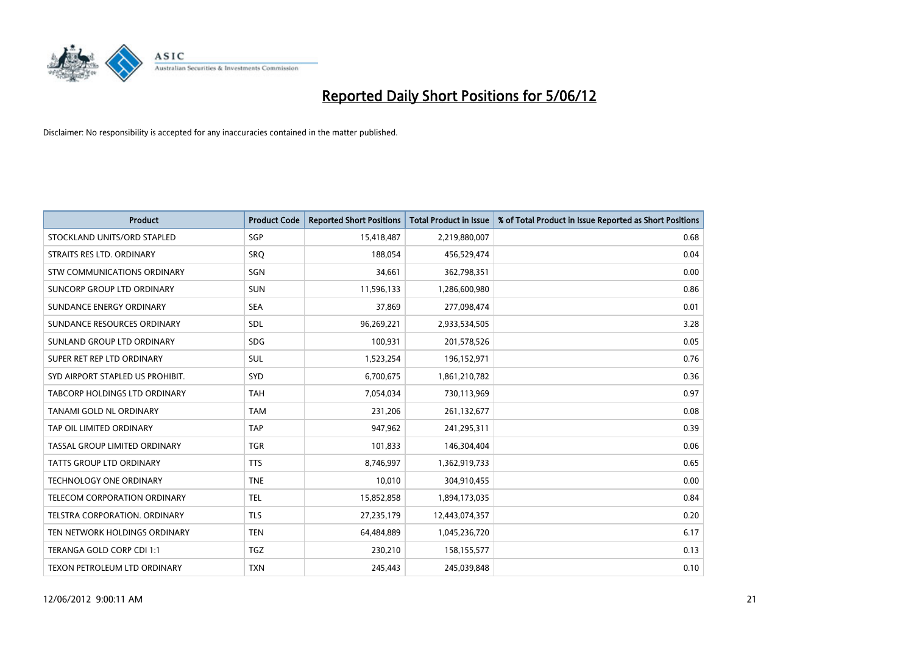

| <b>Product</b>                     | <b>Product Code</b> | <b>Reported Short Positions</b> | <b>Total Product in Issue</b> | % of Total Product in Issue Reported as Short Positions |
|------------------------------------|---------------------|---------------------------------|-------------------------------|---------------------------------------------------------|
| STOCKLAND UNITS/ORD STAPLED        | SGP                 | 15,418,487                      | 2,219,880,007                 | 0.68                                                    |
| STRAITS RES LTD. ORDINARY          | <b>SRQ</b>          | 188,054                         | 456,529,474                   | 0.04                                                    |
| <b>STW COMMUNICATIONS ORDINARY</b> | SGN                 | 34,661                          | 362,798,351                   | 0.00                                                    |
| SUNCORP GROUP LTD ORDINARY         | <b>SUN</b>          | 11,596,133                      | 1,286,600,980                 | 0.86                                                    |
| SUNDANCE ENERGY ORDINARY           | <b>SEA</b>          | 37,869                          | 277,098,474                   | 0.01                                                    |
| SUNDANCE RESOURCES ORDINARY        | SDL                 | 96,269,221                      | 2,933,534,505                 | 3.28                                                    |
| SUNLAND GROUP LTD ORDINARY         | <b>SDG</b>          | 100,931                         | 201,578,526                   | 0.05                                                    |
| SUPER RET REP LTD ORDINARY         | SUL                 | 1,523,254                       | 196,152,971                   | 0.76                                                    |
| SYD AIRPORT STAPLED US PROHIBIT.   | SYD                 | 6,700,675                       | 1,861,210,782                 | 0.36                                                    |
| TABCORP HOLDINGS LTD ORDINARY      | <b>TAH</b>          | 7,054,034                       | 730,113,969                   | 0.97                                                    |
| TANAMI GOLD NL ORDINARY            | <b>TAM</b>          | 231,206                         | 261,132,677                   | 0.08                                                    |
| TAP OIL LIMITED ORDINARY           | <b>TAP</b>          | 947,962                         | 241,295,311                   | 0.39                                                    |
| TASSAL GROUP LIMITED ORDINARY      | <b>TGR</b>          | 101,833                         | 146,304,404                   | 0.06                                                    |
| <b>TATTS GROUP LTD ORDINARY</b>    | <b>TTS</b>          | 8,746,997                       | 1,362,919,733                 | 0.65                                                    |
| TECHNOLOGY ONE ORDINARY            | <b>TNE</b>          | 10,010                          | 304,910,455                   | 0.00                                                    |
| TELECOM CORPORATION ORDINARY       | <b>TEL</b>          | 15,852,858                      | 1,894,173,035                 | 0.84                                                    |
| TELSTRA CORPORATION. ORDINARY      | <b>TLS</b>          | 27,235,179                      | 12,443,074,357                | 0.20                                                    |
| TEN NETWORK HOLDINGS ORDINARY      | <b>TEN</b>          | 64,484,889                      | 1,045,236,720                 | 6.17                                                    |
| TERANGA GOLD CORP CDI 1:1          | <b>TGZ</b>          | 230,210                         | 158,155,577                   | 0.13                                                    |
| TEXON PETROLEUM LTD ORDINARY       | <b>TXN</b>          | 245,443                         | 245,039,848                   | 0.10                                                    |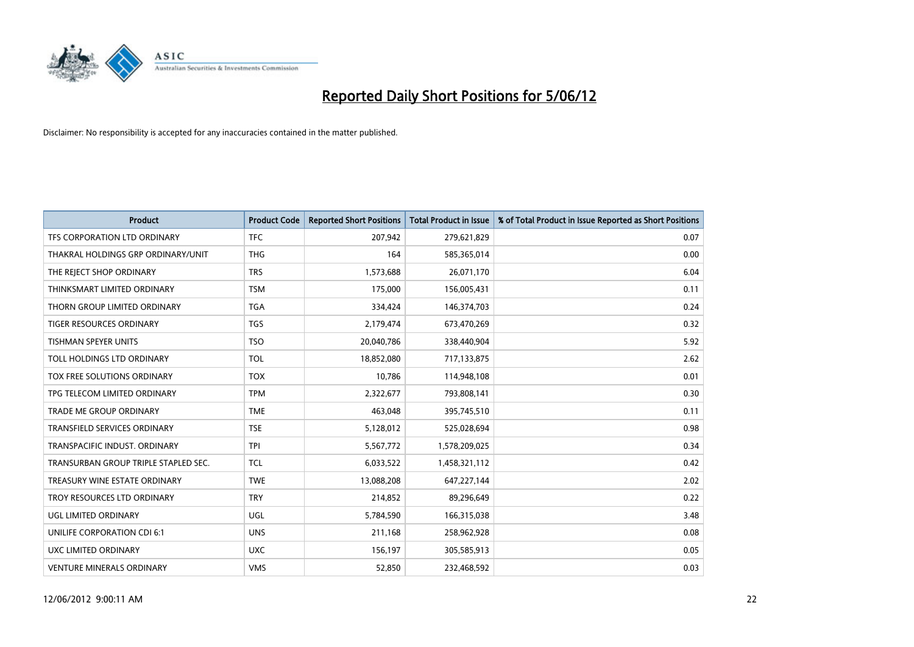

| <b>Product</b>                       | <b>Product Code</b> | <b>Reported Short Positions</b> | <b>Total Product in Issue</b> | % of Total Product in Issue Reported as Short Positions |
|--------------------------------------|---------------------|---------------------------------|-------------------------------|---------------------------------------------------------|
| TFS CORPORATION LTD ORDINARY         | <b>TFC</b>          | 207,942                         | 279,621,829                   | 0.07                                                    |
| THAKRAL HOLDINGS GRP ORDINARY/UNIT   | <b>THG</b>          | 164                             | 585,365,014                   | 0.00                                                    |
| THE REJECT SHOP ORDINARY             | <b>TRS</b>          | 1,573,688                       | 26,071,170                    | 6.04                                                    |
| THINKSMART LIMITED ORDINARY          | <b>TSM</b>          | 175,000                         | 156,005,431                   | 0.11                                                    |
| THORN GROUP LIMITED ORDINARY         | <b>TGA</b>          | 334,424                         | 146,374,703                   | 0.24                                                    |
| <b>TIGER RESOURCES ORDINARY</b>      | <b>TGS</b>          | 2,179,474                       | 673,470,269                   | 0.32                                                    |
| <b>TISHMAN SPEYER UNITS</b>          | <b>TSO</b>          | 20,040,786                      | 338,440,904                   | 5.92                                                    |
| TOLL HOLDINGS LTD ORDINARY           | <b>TOL</b>          | 18,852,080                      | 717,133,875                   | 2.62                                                    |
| TOX FREE SOLUTIONS ORDINARY          | <b>TOX</b>          | 10,786                          | 114,948,108                   | 0.01                                                    |
| TPG TELECOM LIMITED ORDINARY         | <b>TPM</b>          | 2,322,677                       | 793,808,141                   | 0.30                                                    |
| TRADE ME GROUP ORDINARY              | <b>TME</b>          | 463,048                         | 395,745,510                   | 0.11                                                    |
| <b>TRANSFIELD SERVICES ORDINARY</b>  | <b>TSE</b>          | 5,128,012                       | 525,028,694                   | 0.98                                                    |
| TRANSPACIFIC INDUST. ORDINARY        | <b>TPI</b>          | 5,567,772                       | 1,578,209,025                 | 0.34                                                    |
| TRANSURBAN GROUP TRIPLE STAPLED SEC. | <b>TCL</b>          | 6,033,522                       | 1,458,321,112                 | 0.42                                                    |
| TREASURY WINE ESTATE ORDINARY        | <b>TWE</b>          | 13,088,208                      | 647,227,144                   | 2.02                                                    |
| TROY RESOURCES LTD ORDINARY          | <b>TRY</b>          | 214,852                         | 89,296,649                    | 0.22                                                    |
| UGL LIMITED ORDINARY                 | UGL                 | 5,784,590                       | 166,315,038                   | 3.48                                                    |
| UNILIFE CORPORATION CDI 6:1          | <b>UNS</b>          | 211,168                         | 258,962,928                   | 0.08                                                    |
| UXC LIMITED ORDINARY                 | <b>UXC</b>          | 156,197                         | 305,585,913                   | 0.05                                                    |
| <b>VENTURE MINERALS ORDINARY</b>     | <b>VMS</b>          | 52,850                          | 232,468,592                   | 0.03                                                    |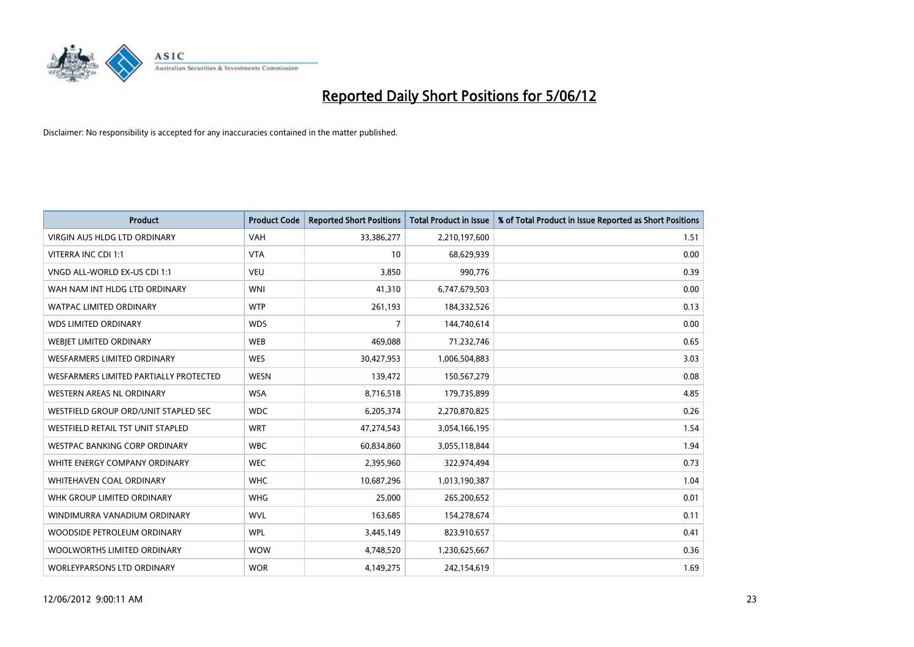

| <b>Product</b>                         | <b>Product Code</b> | <b>Reported Short Positions</b> | <b>Total Product in Issue</b> | % of Total Product in Issue Reported as Short Positions |
|----------------------------------------|---------------------|---------------------------------|-------------------------------|---------------------------------------------------------|
| <b>VIRGIN AUS HLDG LTD ORDINARY</b>    | <b>VAH</b>          | 33,386,277                      | 2,210,197,600                 | 1.51                                                    |
| VITERRA INC CDI 1:1                    | <b>VTA</b>          | 10                              | 68,629,939                    | 0.00                                                    |
| VNGD ALL-WORLD EX-US CDI 1:1           | <b>VEU</b>          | 3,850                           | 990,776                       | 0.39                                                    |
| WAH NAM INT HLDG LTD ORDINARY          | <b>WNI</b>          | 41,310                          | 6,747,679,503                 | 0.00                                                    |
| <b>WATPAC LIMITED ORDINARY</b>         | <b>WTP</b>          | 261,193                         | 184,332,526                   | 0.13                                                    |
| <b>WDS LIMITED ORDINARY</b>            | <b>WDS</b>          | $\overline{7}$                  | 144,740,614                   | 0.00                                                    |
| WEBJET LIMITED ORDINARY                | <b>WEB</b>          | 469,088                         | 71,232,746                    | 0.65                                                    |
| <b>WESFARMERS LIMITED ORDINARY</b>     | <b>WES</b>          | 30,427,953                      | 1,006,504,883                 | 3.03                                                    |
| WESFARMERS LIMITED PARTIALLY PROTECTED | <b>WESN</b>         | 139,472                         | 150,567,279                   | 0.08                                                    |
| <b>WESTERN AREAS NL ORDINARY</b>       | <b>WSA</b>          | 8,716,518                       | 179,735,899                   | 4.85                                                    |
| WESTFIELD GROUP ORD/UNIT STAPLED SEC   | <b>WDC</b>          | 6,205,374                       | 2,270,870,825                 | 0.26                                                    |
| WESTFIELD RETAIL TST UNIT STAPLED      | <b>WRT</b>          | 47,274,543                      | 3,054,166,195                 | 1.54                                                    |
| <b>WESTPAC BANKING CORP ORDINARY</b>   | <b>WBC</b>          | 60,834,860                      | 3,055,118,844                 | 1.94                                                    |
| WHITE ENERGY COMPANY ORDINARY          | <b>WEC</b>          | 2,395,960                       | 322,974,494                   | 0.73                                                    |
| WHITEHAVEN COAL ORDINARY               | <b>WHC</b>          | 10,687,296                      | 1,013,190,387                 | 1.04                                                    |
| WHK GROUP LIMITED ORDINARY             | <b>WHG</b>          | 25,000                          | 265,200,652                   | 0.01                                                    |
| WINDIMURRA VANADIUM ORDINARY           | <b>WVL</b>          | 163,685                         | 154,278,674                   | 0.11                                                    |
| WOODSIDE PETROLEUM ORDINARY            | <b>WPL</b>          | 3,445,149                       | 823,910,657                   | 0.41                                                    |
| WOOLWORTHS LIMITED ORDINARY            | <b>WOW</b>          | 4,748,520                       | 1,230,625,667                 | 0.36                                                    |
| WORLEYPARSONS LTD ORDINARY             | <b>WOR</b>          | 4,149,275                       | 242,154,619                   | 1.69                                                    |